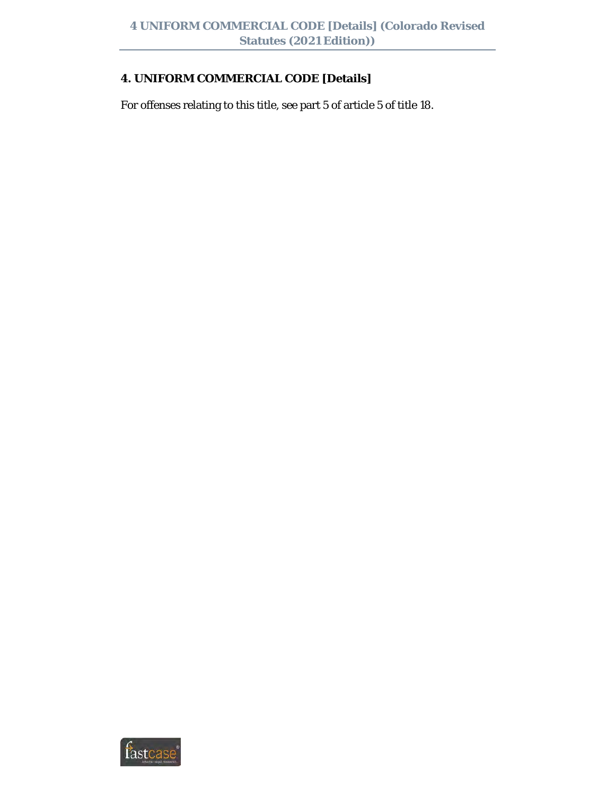## **4. UNIFORM COMMERCIAL CODE [Details]**

For offenses relating to this title, see part 5 of article 5 of title 18.

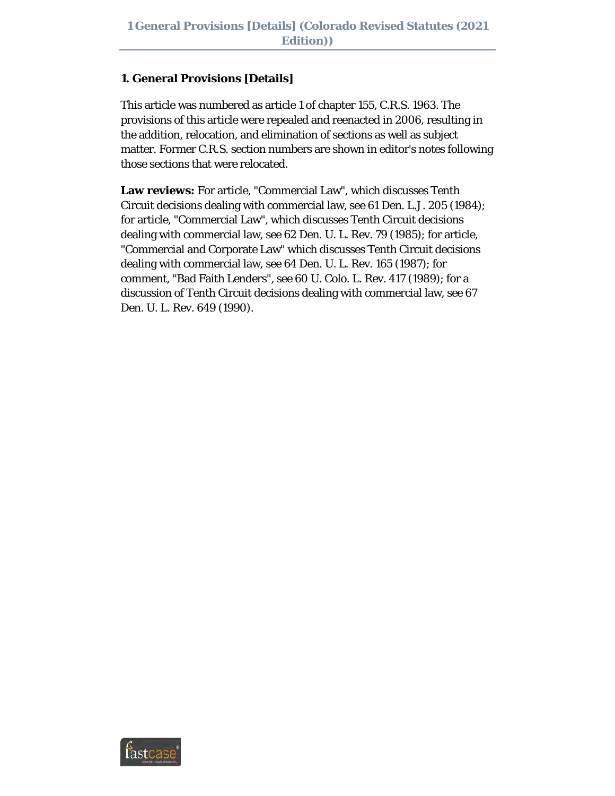## **1. General Provisions [Details]**

This article was numbered as article 1 of chapter 155, C.R.S. 1963. The provisions of this article were repealed and reenacted in 2006, resulting in the addition, relocation, and elimination of sections as well as subject matter. Former C.R.S. section numbers are shown in editor's notes following those sections that were relocated.

**Law reviews:** For article, "Commercial Law", which discusses Tenth Circuit decisions dealing with commercial law, see 61 Den. L.J. 205 (1984); for article, "Commercial Law", which discusses Tenth Circuit decisions dealing with commercial law, see 62 Den. U. L. Rev. 79 (1985); for article, "Commercial and Corporate Law" which discusses Tenth Circuit decisions dealing with commercial law, see 64 Den. U. L. Rev. 165 (1987); for comment, "Bad Faith Lenders", see 60 U. Colo. L. Rev. 417 (1989); for a discussion of Tenth Circuit decisions dealing with commercial law, see 67 Den. U. L. Rev. 649 (1990).

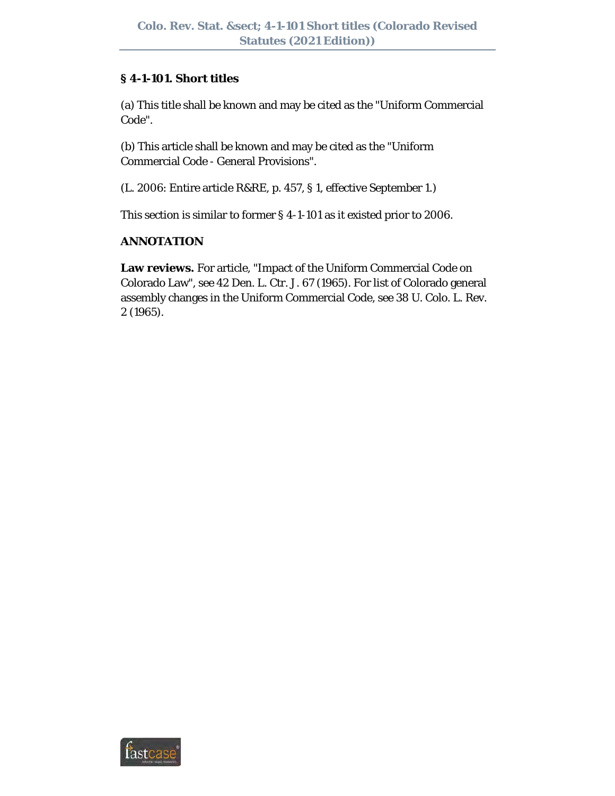#### **§ 4-1-101. Short titles**

(a) This title shall be known and may be cited as the "Uniform Commercial Code".

(b) This article shall be known and may be cited as the "Uniform Commercial Code - General Provisions".

(L. 2006: Entire article R&RE, p. 457, § 1, effective September 1.)

This section is similar to former § 4-1-101 as it existed prior to 2006.

## **ANNOTATION**

**Law reviews.** For article, "Impact of the Uniform Commercial Code on Colorado Law", see 42 Den. L. Ctr. J. 67 (1965). For list of Colorado general assembly changes in the Uniform Commercial Code, see 38 U. Colo. L. Rev. 2 (1965).

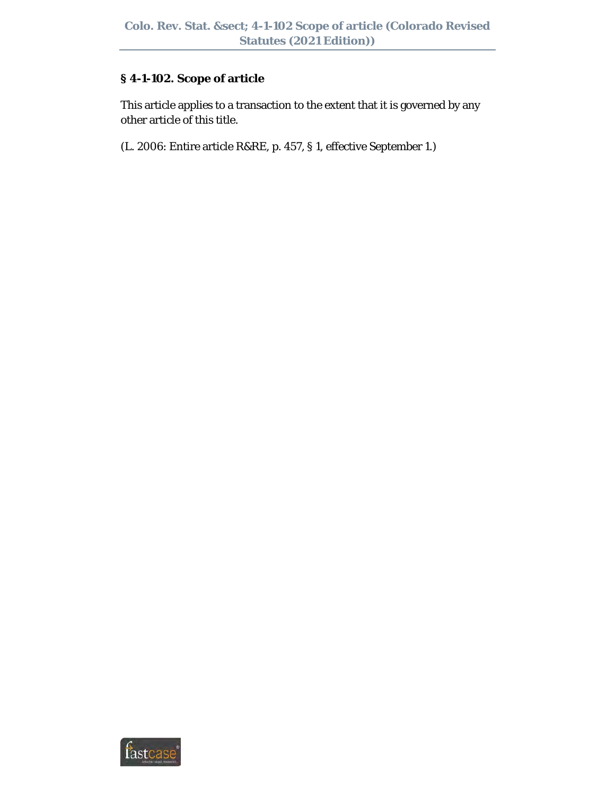#### **§ 4-1-102. Scope of article**

This article applies to a transaction to the extent that it is governed by any other article of this title.

(L. 2006: Entire article R&RE, p. 457, § 1, effective September 1.)

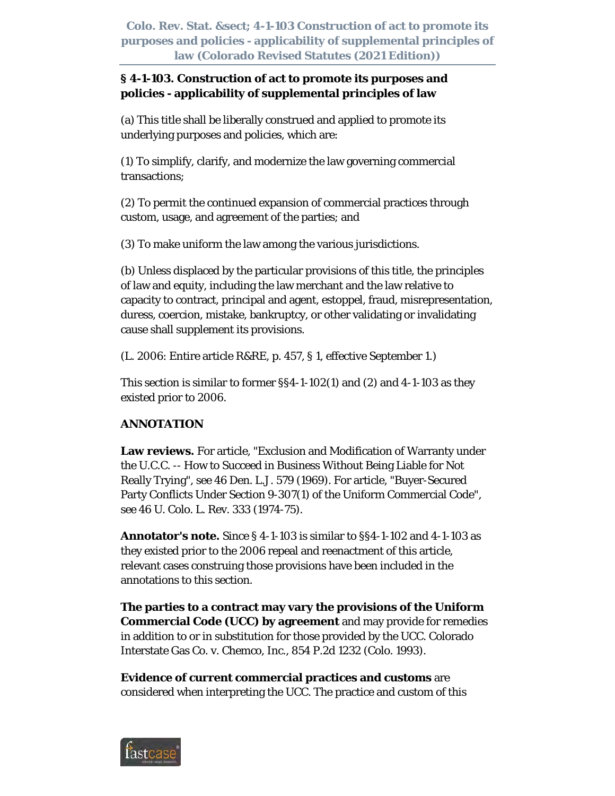**Colo. Rev. Stat. § 4-1-103 Construction of act to promote its purposes and policies - applicability of supplemental principles of law (Colorado Revised Statutes (2021 Edition))**

**§ 4-1-103. Construction of act to promote its purposes and policies - applicability of supplemental principles of law** 

(a) This title shall be liberally construed and applied to promote its underlying purposes and policies, which are:

(1) To simplify, clarify, and modernize the law governing commercial transactions;

(2) To permit the continued expansion of commercial practices through custom, usage, and agreement of the parties; and

(3) To make uniform the law among the various jurisdictions.

(b) Unless displaced by the particular provisions of this title, the principles of law and equity, including the law merchant and the law relative to capacity to contract, principal and agent, estoppel, fraud, misrepresentation, duress, coercion, mistake, bankruptcy, or other validating or invalidating cause shall supplement its provisions.

(L. 2006: Entire article R&RE, p. 457, § 1, effective September 1.)

This section is similar to former §§4-1-102(1) and (2) and 4-1-103 as they existed prior to 2006.

## **ANNOTATION**

**Law reviews.** For article, "Exclusion and Modification of Warranty under the U.C.C. -- How to Succeed in Business Without Being Liable for Not Really Trying", see 46 Den. L.J. 579 (1969). For article, "Buyer-Secured Party Conflicts Under Section 9-307(1) of the Uniform Commercial Code", see 46 U. Colo. L. Rev. 333 (1974-75).

**Annotator's note.** Since § 4-1-103 is similar to §§4-1-102 and 4-1-103 as they existed prior to the 2006 repeal and reenactment of this article, relevant cases construing those provisions have been included in the annotations to this section.

**The parties to a contract may vary the provisions of the Uniform Commercial Code (UCC) by agreement** and may provide for remedies in addition to or in substitution for those provided by the UCC. Colorado Interstate Gas Co. v. Chemco, Inc., 854 P.2d 1232 (Colo. 1993).

**Evidence of current commercial practices and customs** are considered when interpreting the UCC. The practice and custom of this

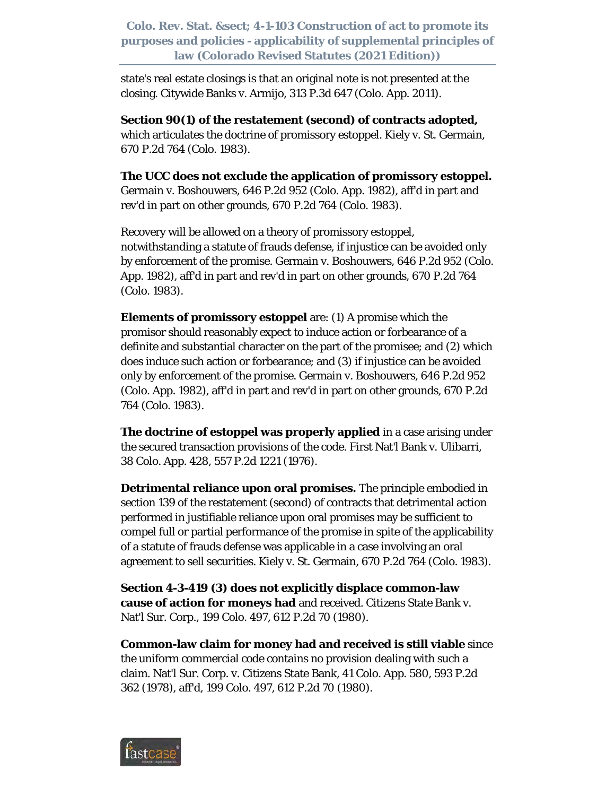#### **Colo. Rev. Stat. § 4-1-103 Construction of act to promote its purposes and policies - applicability of supplemental principles of law (Colorado Revised Statutes (2021 Edition))**

state's real estate closings is that an original note is not presented at the closing. Citywide Banks v. Armijo, 313 P.3d 647 (Colo. App. 2011).

**Section 90(1) of the restatement (second) of contracts adopted,** which articulates the doctrine of promissory estoppel. Kiely v. St. Germain, 670 P.2d 764 (Colo. 1983).

**The UCC does not exclude the application of promissory estoppel.** Germain v. Boshouwers, 646 P.2d 952 (Colo. App. 1982), aff'd in part and rev'd in part on other grounds, 670 P.2d 764 (Colo. 1983).

Recovery will be allowed on a theory of promissory estoppel, notwithstanding a statute of frauds defense, if injustice can be avoided only by enforcement of the promise. Germain v. Boshouwers, 646 P.2d 952 (Colo. App. 1982), aff'd in part and rev'd in part on other grounds, 670 P.2d 764 (Colo. 1983).

**Elements of promissory estoppel** are: (1) A promise which the promisor should reasonably expect to induce action or forbearance of a definite and substantial character on the part of the promisee; and (2) which does induce such action or forbearance; and (3) if injustice can be avoided only by enforcement of the promise. Germain v. Boshouwers, 646 P.2d 952 (Colo. App. 1982), aff'd in part and rev'd in part on other grounds, 670 P.2d 764 (Colo. 1983).

**The doctrine of estoppel was properly applied** in a case arising under the secured transaction provisions of the code. First Nat'l Bank v. Ulibarri, 38 Colo. App. 428, 557 P.2d 1221 (1976).

**Detrimental reliance upon oral promises.** The principle embodied in section 139 of the restatement (second) of contracts that detrimental action performed in justifiable reliance upon oral promises may be sufficient to compel full or partial performance of the promise in spite of the applicability of a statute of frauds defense was applicable in a case involving an oral agreement to sell securities. Kiely v. St. Germain, 670 P.2d 764 (Colo. 1983).

**Section 4-3-419 (3) does not explicitly displace common-law cause of action for moneys had** and received. Citizens State Bank v. Nat'l Sur. Corp., 199 Colo. 497, 612 P.2d 70 (1980).

**Common-law claim for money had and received is still viable** since the uniform commercial code contains no provision dealing with such a claim. Nat'l Sur. Corp. v. Citizens State Bank, 41 Colo. App. 580, 593 P.2d 362 (1978), aff'd, 199 Colo. 497, 612 P.2d 70 (1980).

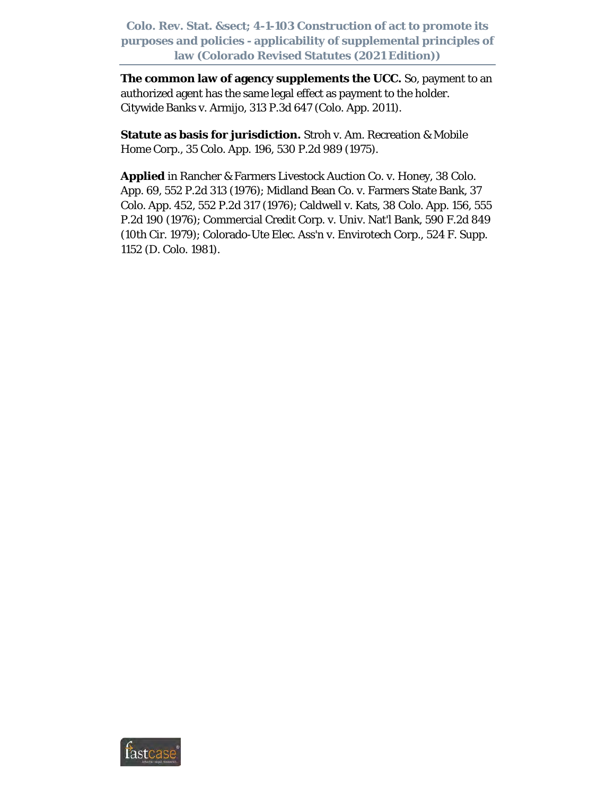**Colo. Rev. Stat. § 4-1-103 Construction of act to promote its purposes and policies - applicability of supplemental principles of law (Colorado Revised Statutes (2021 Edition))**

**The common law of agency supplements the UCC.** So, payment to an authorized agent has the same legal effect as payment to the holder. Citywide Banks v. Armijo, 313 P.3d 647 (Colo. App. 2011).

**Statute as basis for jurisdiction.** Stroh v. Am. Recreation & Mobile Home Corp., 35 Colo. App. 196, 530 P.2d 989 (1975).

**Applied** in Rancher & Farmers Livestock Auction Co. v. Honey, 38 Colo. App. 69, 552 P.2d 313 (1976); Midland Bean Co. v. Farmers State Bank, 37 Colo. App. 452, 552 P.2d 317 (1976); Caldwell v. Kats, 38 Colo. App. 156, 555 P.2d 190 (1976); Commercial Credit Corp. v. Univ. Nat'l Bank, 590 F.2d 849 (10th Cir. 1979); Colorado-Ute Elec. Ass'n v. Envirotech Corp., 524 F. Supp. 1152 (D. Colo. 1981).

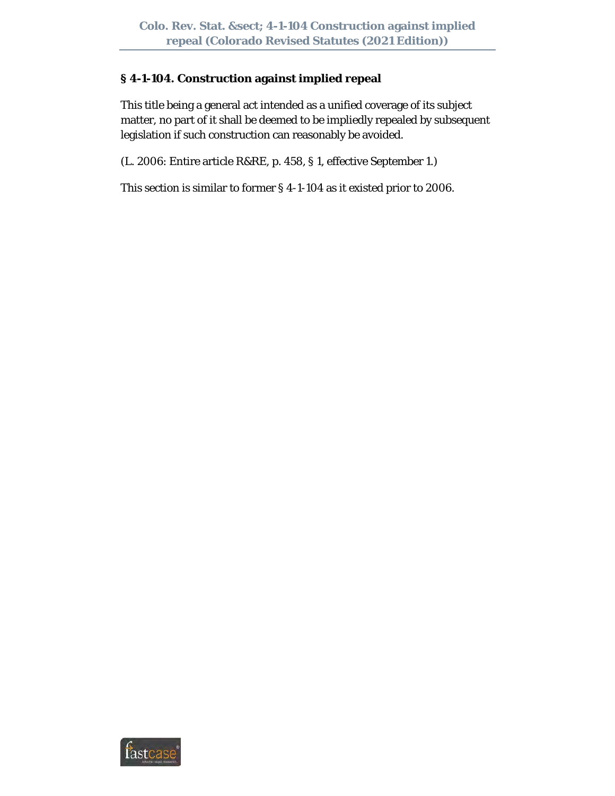## **§ 4-1-104. Construction against implied repeal**

This title being a general act intended as a unified coverage of its subject matter, no part of it shall be deemed to be impliedly repealed by subsequent legislation if such construction can reasonably be avoided.

(L. 2006: Entire article R&RE, p. 458, § 1, effective September 1.)

This section is similar to former § 4-1-104 as it existed prior to 2006.

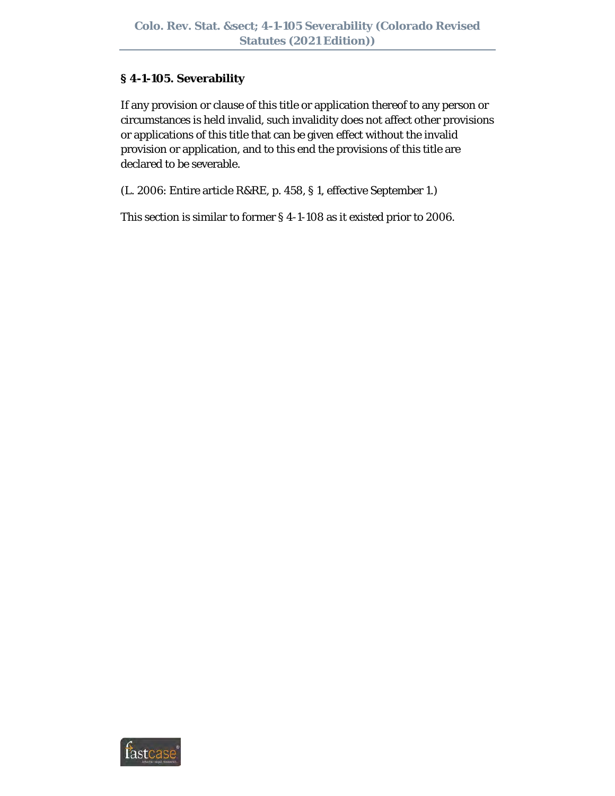## **§ 4-1-105. Severability**

If any provision or clause of this title or application thereof to any person or circumstances is held invalid, such invalidity does not affect other provisions or applications of this title that can be given effect without the invalid provision or application, and to this end the provisions of this title are declared to be severable.

(L. 2006: Entire article R&RE, p. 458, § 1, effective September 1.)

This section is similar to former § 4-1-108 as it existed prior to 2006.

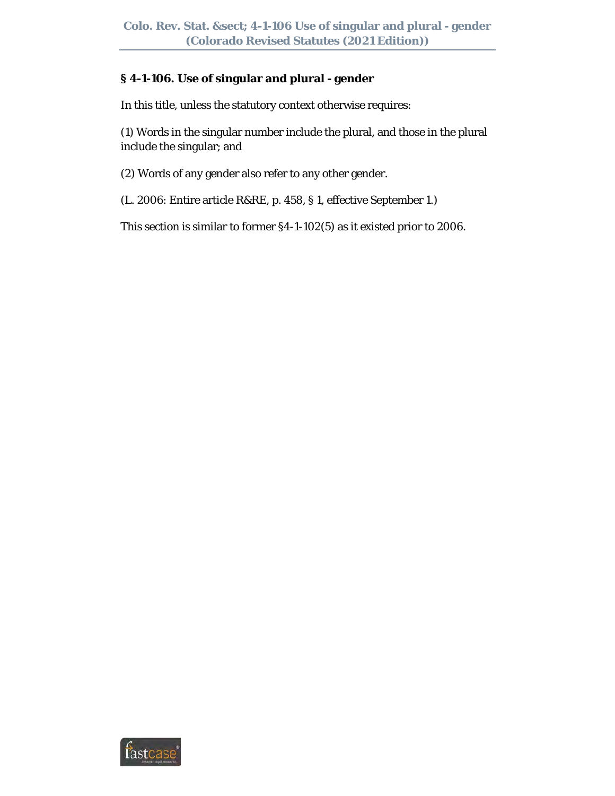**§ 4-1-106. Use of singular and plural - gender** 

In this title, unless the statutory context otherwise requires:

(1) Words in the singular number include the plural, and those in the plural include the singular; and

(2) Words of any gender also refer to any other gender.

(L. 2006: Entire article R&RE, p. 458, § 1, effective September 1.)

This section is similar to former §4-1-102(5) as it existed prior to 2006.

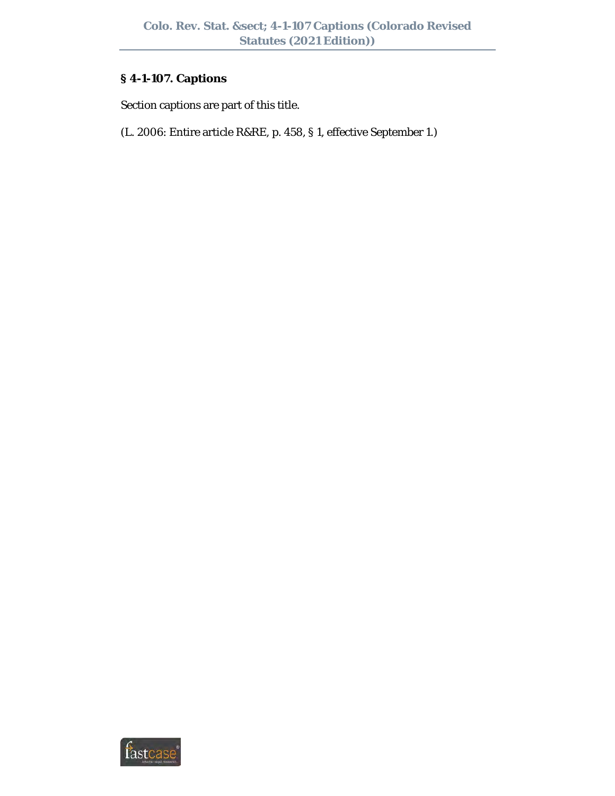### **§ 4-1-107. Captions**

Section captions are part of this title.

(L. 2006: Entire article R&RE, p. 458, § 1, effective September 1.)

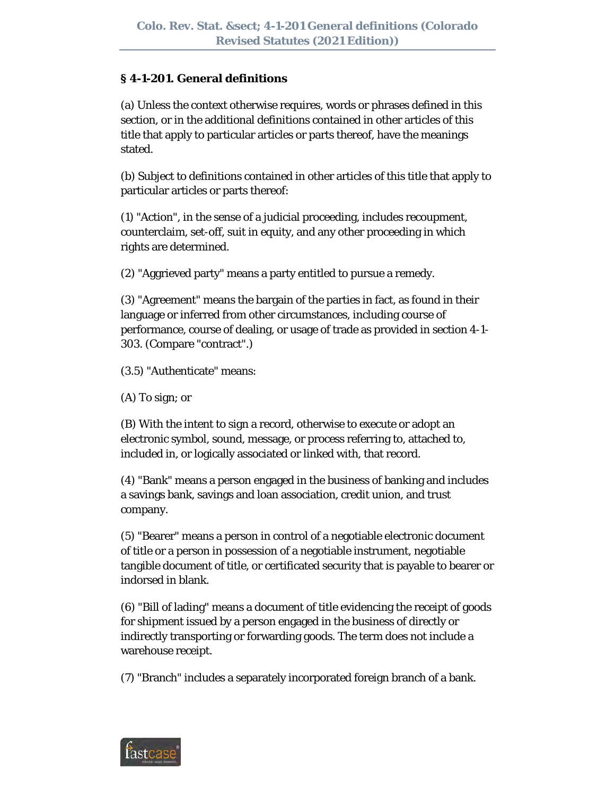## **§ 4-1-201. General definitions**

(a) Unless the context otherwise requires, words or phrases defined in this section, or in the additional definitions contained in other articles of this title that apply to particular articles or parts thereof, have the meanings stated.

(b) Subject to definitions contained in other articles of this title that apply to particular articles or parts thereof:

(1) "Action", in the sense of a judicial proceeding, includes recoupment, counterclaim, set-off, suit in equity, and any other proceeding in which rights are determined.

(2) "Aggrieved party" means a party entitled to pursue a remedy.

(3) "Agreement" means the bargain of the parties in fact, as found in their language or inferred from other circumstances, including course of performance, course of dealing, or usage of trade as provided in section 4-1- 303. (Compare "contract".)

(3.5) "Authenticate" means:

(A) To sign; or

(B) With the intent to sign a record, otherwise to execute or adopt an electronic symbol, sound, message, or process referring to, attached to, included in, or logically associated or linked with, that record.

(4) "Bank" means a person engaged in the business of banking and includes a savings bank, savings and loan association, credit union, and trust company.

(5) "Bearer" means a person in control of a negotiable electronic document of title or a person in possession of a negotiable instrument, negotiable tangible document of title, or certificated security that is payable to bearer or indorsed in blank.

(6) "Bill of lading" means a document of title evidencing the receipt of goods for shipment issued by a person engaged in the business of directly or indirectly transporting or forwarding goods. The term does not include a warehouse receipt.

(7) "Branch" includes a separately incorporated foreign branch of a bank.

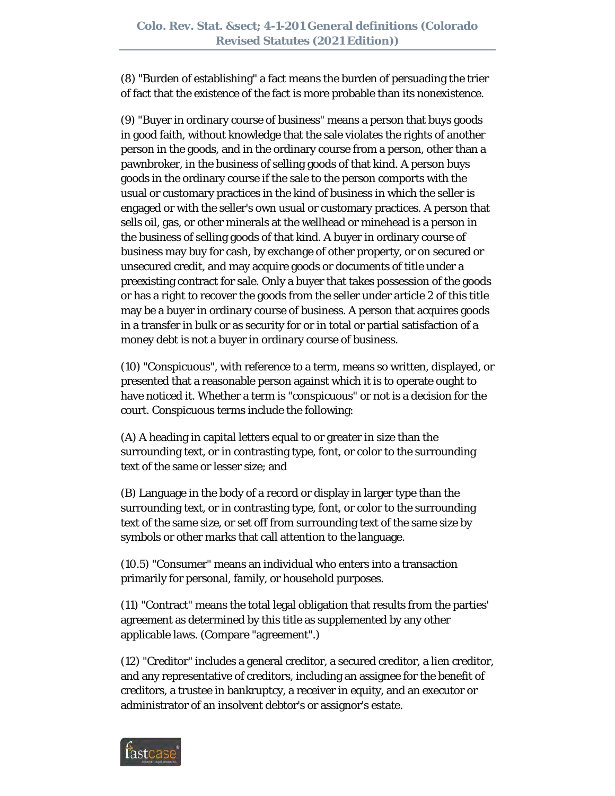(8) "Burden of establishing" a fact means the burden of persuading the trier of fact that the existence of the fact is more probable than its nonexistence.

(9) "Buyer in ordinary course of business" means a person that buys goods in good faith, without knowledge that the sale violates the rights of another person in the goods, and in the ordinary course from a person, other than a pawnbroker, in the business of selling goods of that kind. A person buys goods in the ordinary course if the sale to the person comports with the usual or customary practices in the kind of business in which the seller is engaged or with the seller's own usual or customary practices. A person that sells oil, gas, or other minerals at the wellhead or minehead is a person in the business of selling goods of that kind. A buyer in ordinary course of business may buy for cash, by exchange of other property, or on secured or unsecured credit, and may acquire goods or documents of title under a preexisting contract for sale. Only a buyer that takes possession of the goods or has a right to recover the goods from the seller under article 2 of this title may be a buyer in ordinary course of business. A person that acquires goods in a transfer in bulk or as security for or in total or partial satisfaction of a money debt is not a buyer in ordinary course of business.

(10) "Conspicuous", with reference to a term, means so written, displayed, or presented that a reasonable person against which it is to operate ought to have noticed it. Whether a term is "conspicuous" or not is a decision for the court. Conspicuous terms include the following:

(A) A heading in capital letters equal to or greater in size than the surrounding text, or in contrasting type, font, or color to the surrounding text of the same or lesser size; and

(B) Language in the body of a record or display in larger type than the surrounding text, or in contrasting type, font, or color to the surrounding text of the same size, or set off from surrounding text of the same size by symbols or other marks that call attention to the language.

(10.5) "Consumer" means an individual who enters into a transaction primarily for personal, family, or household purposes.

(11) "Contract" means the total legal obligation that results from the parties' agreement as determined by this title as supplemented by any other applicable laws. (Compare "agreement".)

(12) "Creditor" includes a general creditor, a secured creditor, a lien creditor, and any representative of creditors, including an assignee for the benefit of creditors, a trustee in bankruptcy, a receiver in equity, and an executor or administrator of an insolvent debtor's or assignor's estate.

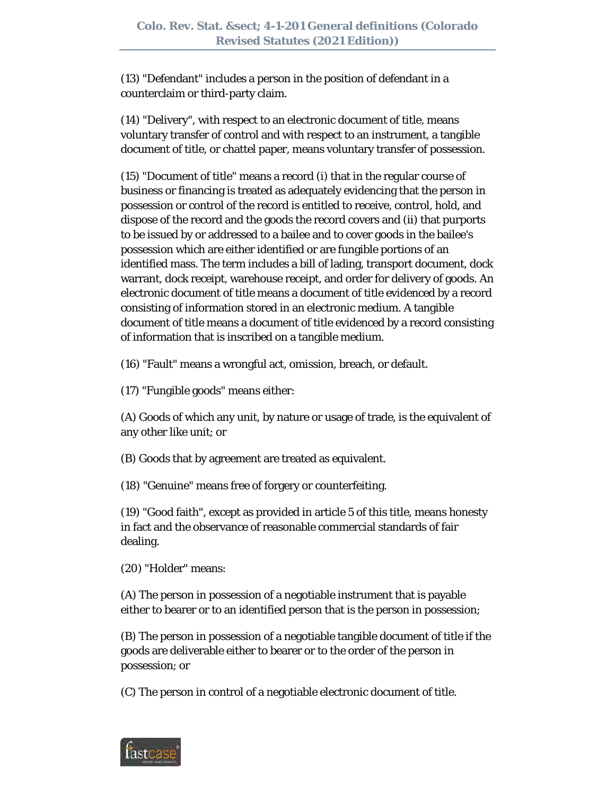(13) "Defendant" includes a person in the position of defendant in a counterclaim or third-party claim.

(14) "Delivery", with respect to an electronic document of title, means voluntary transfer of control and with respect to an instrument, a tangible document of title, or chattel paper, means voluntary transfer of possession.

(15) "Document of title" means a record (i) that in the regular course of business or financing is treated as adequately evidencing that the person in possession or control of the record is entitled to receive, control, hold, and dispose of the record and the goods the record covers and (ii) that purports to be issued by or addressed to a bailee and to cover goods in the bailee's possession which are either identified or are fungible portions of an identified mass. The term includes a bill of lading, transport document, dock warrant, dock receipt, warehouse receipt, and order for delivery of goods. An electronic document of title means a document of title evidenced by a record consisting of information stored in an electronic medium. A tangible document of title means a document of title evidenced by a record consisting of information that is inscribed on a tangible medium.

(16) "Fault" means a wrongful act, omission, breach, or default.

(17) "Fungible goods" means either:

(A) Goods of which any unit, by nature or usage of trade, is the equivalent of any other like unit; or

(B) Goods that by agreement are treated as equivalent.

(18) "Genuine" means free of forgery or counterfeiting.

(19) "Good faith", except as provided in article 5 of this title, means honesty in fact and the observance of reasonable commercial standards of fair dealing.

(20) "Holder" means:

(A) The person in possession of a negotiable instrument that is payable either to bearer or to an identified person that is the person in possession;

(B) The person in possession of a negotiable tangible document of title if the goods are deliverable either to bearer or to the order of the person in possession; or

(C) The person in control of a negotiable electronic document of title.

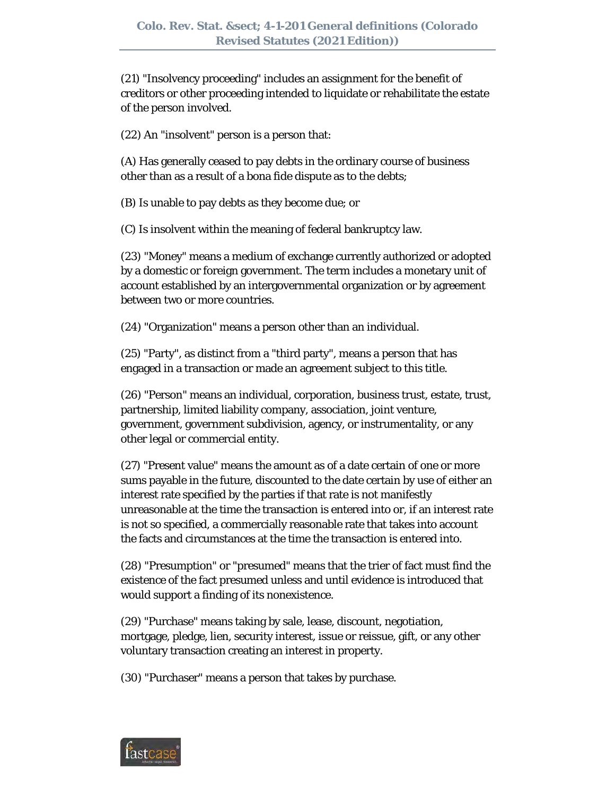(21) "Insolvency proceeding" includes an assignment for the benefit of creditors or other proceeding intended to liquidate or rehabilitate the estate of the person involved.

(22) An "insolvent" person is a person that:

(A) Has generally ceased to pay debts in the ordinary course of business other than as a result of a bona fide dispute as to the debts;

(B) Is unable to pay debts as they become due; or

(C) Is insolvent within the meaning of federal bankruptcy law.

(23) "Money" means a medium of exchange currently authorized or adopted by a domestic or foreign government. The term includes a monetary unit of account established by an intergovernmental organization or by agreement between two or more countries.

(24) "Organization" means a person other than an individual.

(25) "Party", as distinct from a "third party", means a person that has engaged in a transaction or made an agreement subject to this title.

(26) "Person" means an individual, corporation, business trust, estate, trust, partnership, limited liability company, association, joint venture, government, government subdivision, agency, or instrumentality, or any other legal or commercial entity.

(27) "Present value" means the amount as of a date certain of one or more sums payable in the future, discounted to the date certain by use of either an interest rate specified by the parties if that rate is not manifestly unreasonable at the time the transaction is entered into or, if an interest rate is not so specified, a commercially reasonable rate that takes into account the facts and circumstances at the time the transaction is entered into.

(28) "Presumption" or "presumed" means that the trier of fact must find the existence of the fact presumed unless and until evidence is introduced that would support a finding of its nonexistence.

(29) "Purchase" means taking by sale, lease, discount, negotiation, mortgage, pledge, lien, security interest, issue or reissue, gift, or any other voluntary transaction creating an interest in property.

(30) "Purchaser" means a person that takes by purchase.

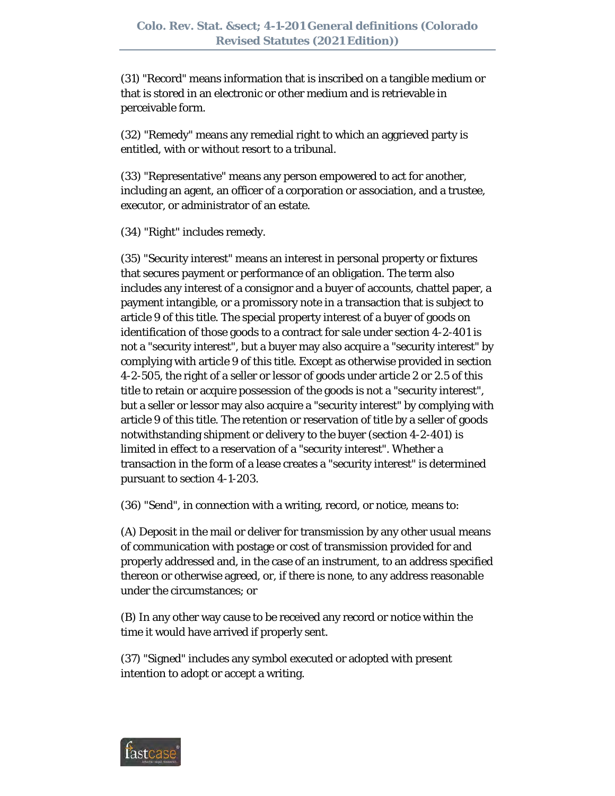(31) "Record" means information that is inscribed on a tangible medium or that is stored in an electronic or other medium and is retrievable in perceivable form.

(32) "Remedy" means any remedial right to which an aggrieved party is entitled, with or without resort to a tribunal.

(33) "Representative" means any person empowered to act for another, including an agent, an officer of a corporation or association, and a trustee, executor, or administrator of an estate.

(34) "Right" includes remedy.

(35) "Security interest" means an interest in personal property or fixtures that secures payment or performance of an obligation. The term also includes any interest of a consignor and a buyer of accounts, chattel paper, a payment intangible, or a promissory note in a transaction that is subject to article 9 of this title. The special property interest of a buyer of goods on identification of those goods to a contract for sale under section 4-2-401 is not a "security interest", but a buyer may also acquire a "security interest" by complying with article 9 of this title. Except as otherwise provided in section 4-2-505, the right of a seller or lessor of goods under article 2 or 2.5 of this title to retain or acquire possession of the goods is not a "security interest", but a seller or lessor may also acquire a "security interest" by complying with article 9 of this title. The retention or reservation of title by a seller of goods notwithstanding shipment or delivery to the buyer (section 4-2-401) is limited in effect to a reservation of a "security interest". Whether a transaction in the form of a lease creates a "security interest" is determined pursuant to section 4-1-203.

(36) "Send", in connection with a writing, record, or notice, means to:

(A) Deposit in the mail or deliver for transmission by any other usual means of communication with postage or cost of transmission provided for and properly addressed and, in the case of an instrument, to an address specified thereon or otherwise agreed, or, if there is none, to any address reasonable under the circumstances; or

(B) In any other way cause to be received any record or notice within the time it would have arrived if properly sent.

(37) "Signed" includes any symbol executed or adopted with present intention to adopt or accept a writing.

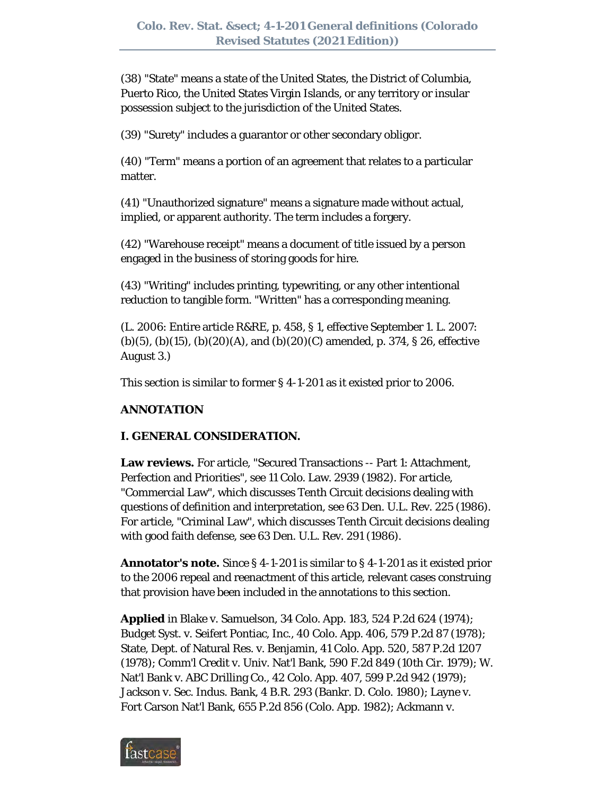(38) "State" means a state of the United States, the District of Columbia, Puerto Rico, the United States Virgin Islands, or any territory or insular possession subject to the jurisdiction of the United States.

(39) "Surety" includes a guarantor or other secondary obligor.

(40) "Term" means a portion of an agreement that relates to a particular matter.

(41) "Unauthorized signature" means a signature made without actual, implied, or apparent authority. The term includes a forgery.

(42) "Warehouse receipt" means a document of title issued by a person engaged in the business of storing goods for hire.

(43) "Writing" includes printing, typewriting, or any other intentional reduction to tangible form. "Written" has a corresponding meaning.

(L. 2006: Entire article R&RE, p. 458, § 1, effective September 1. L. 2007: (b)(5), (b)(15), (b)(20)(A), and (b)(20)(C) amended, p. 374, § 26, effective August 3.)

This section is similar to former § 4-1-201 as it existed prior to 2006.

## **ANNOTATION**

**I. GENERAL CONSIDERATION.**

**Law reviews.** For article, "Secured Transactions -- Part 1: Attachment, Perfection and Priorities", see 11 Colo. Law. 2939 (1982). For article, "Commercial Law", which discusses Tenth Circuit decisions dealing with questions of definition and interpretation, see 63 Den. U.L. Rev. 225 (1986). For article, "Criminal Law", which discusses Tenth Circuit decisions dealing with good faith defense, see 63 Den. U.L. Rev. 291 (1986).

**Annotator's note.** Since § 4-1-201 is similar to § 4-1-201 as it existed prior to the 2006 repeal and reenactment of this article, relevant cases construing that provision have been included in the annotations to this section.

**Applied** in Blake v. Samuelson, 34 Colo. App. 183, 524 P.2d 624 (1974); Budget Syst. v. Seifert Pontiac, Inc., 40 Colo. App. 406, 579 P.2d 87 (1978); State, Dept. of Natural Res. v. Benjamin, 41 Colo. App. 520, 587 P.2d 1207 (1978); Comm'l Credit v. Univ. Nat'l Bank, 590 F.2d 849 (10th Cir. 1979); W. Nat'l Bank v. ABC Drilling Co., 42 Colo. App. 407, 599 P.2d 942 (1979); Jackson v. Sec. Indus. Bank, 4 B.R. 293 (Bankr. D. Colo. 1980); Layne v. Fort Carson Nat'l Bank, 655 P.2d 856 (Colo. App. 1982); Ackmann v.

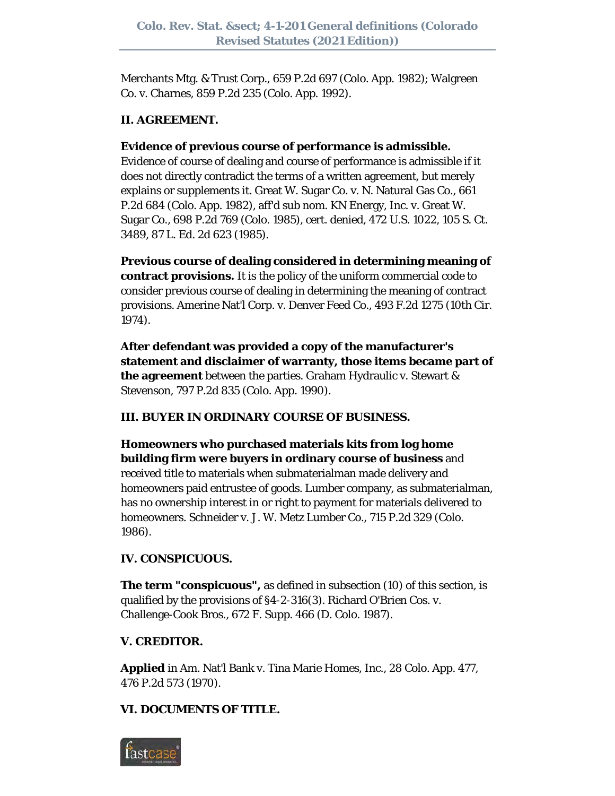Merchants Mtg. & Trust Corp., 659 P.2d 697 (Colo. App. 1982); Walgreen Co. v. Charnes, 859 P.2d 235 (Colo. App. 1992).

#### **II. AGREEMENT.**

**Evidence of previous course of performance is admissible.** Evidence of course of dealing and course of performance is admissible if it does not directly contradict the terms of a written agreement, but merely explains or supplements it. Great W. Sugar Co. v. N. Natural Gas Co., 661 P.2d 684 (Colo. App. 1982), aff'd sub nom. KN Energy, Inc. v. Great W. Sugar Co., 698 P.2d 769 (Colo. 1985), cert. denied, 472 U.S. 1022, 105 S. Ct. 3489, 87 L. Ed. 2d 623 (1985).

**Previous course of dealing considered in determining meaning of contract provisions.** It is the policy of the uniform commercial code to consider previous course of dealing in determining the meaning of contract provisions. Amerine Nat'l Corp. v. Denver Feed Co., 493 F.2d 1275 (10th Cir. 1974).

**After defendant was provided a copy of the manufacturer's statement and disclaimer of warranty, those items became part of the agreement** between the parties. Graham Hydraulic v. Stewart & Stevenson, 797 P.2d 835 (Colo. App. 1990).

**III. BUYER IN ORDINARY COURSE OF BUSINESS.**

**Homeowners who purchased materials kits from log home building firm were buyers in ordinary course of business** and received title to materials when submaterialman made delivery and homeowners paid entrustee of goods. Lumber company, as submaterialman, has no ownership interest in or right to payment for materials delivered to homeowners. Schneider v. J. W. Metz Lumber Co., 715 P.2d 329 (Colo. 1986).

**IV. CONSPICUOUS.**

**The term "conspicuous",** as defined in subsection (10) of this section, is qualified by the provisions of §4-2-316(3). Richard O'Brien Cos. v. Challenge-Cook Bros., 672 F. Supp. 466 (D. Colo. 1987).

## **V. CREDITOR.**

**Applied** in Am. Nat'l Bank v. Tina Marie Homes, Inc., 28 Colo. App. 477, 476 P.2d 573 (1970).

**VI. DOCUMENTS OF TITLE.**

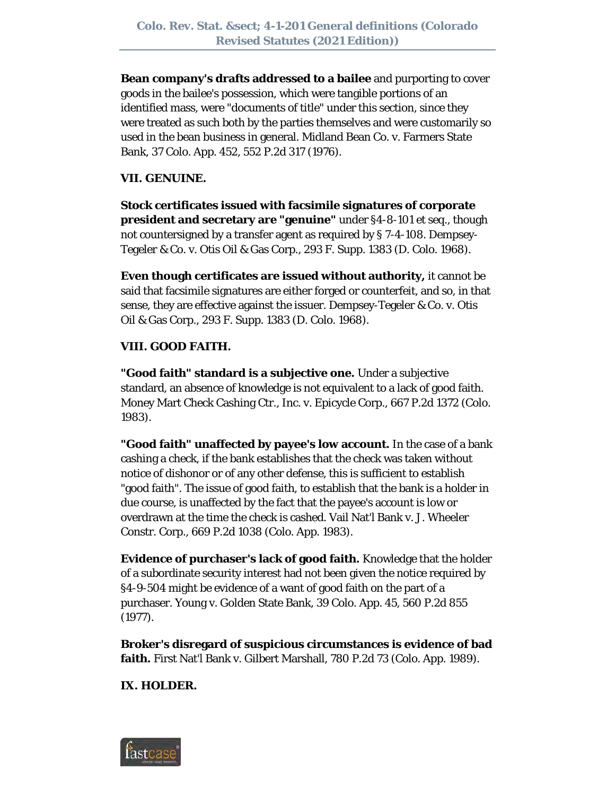**Bean company's drafts addressed to a bailee** and purporting to cover goods in the bailee's possession, which were tangible portions of an identified mass, were "documents of title" under this section, since they were treated as such both by the parties themselves and were customarily so used in the bean business in general. Midland Bean Co. v. Farmers State Bank, 37 Colo. App. 452, 552 P.2d 317 (1976).

## **VII. GENUINE.**

**Stock certificates issued with facsimile signatures of corporate president and secretary are "genuine"** under §4-8-101 et seq., though not countersigned by a transfer agent as required by § 7-4-108. Dempsey-Tegeler & Co. v. Otis Oil & Gas Corp., 293 F. Supp. 1383 (D. Colo. 1968).

**Even though certificates are issued without authority,** it cannot be said that facsimile signatures are either forged or counterfeit, and so, in that sense, they are effective against the issuer. Dempsey-Tegeler & Co. v. Otis Oil & Gas Corp., 293 F. Supp. 1383 (D. Colo. 1968).

**VIII. GOOD FAITH.**

**"Good faith" standard is a subjective one.** Under a subjective standard, an absence of knowledge is not equivalent to a lack of good faith. Money Mart Check Cashing Ctr., Inc. v. Epicycle Corp., 667 P.2d 1372 (Colo. 1983).

**"Good faith" unaffected by payee's low account.** In the case of a bank cashing a check, if the bank establishes that the check was taken without notice of dishonor or of any other defense, this is sufficient to establish "good faith". The issue of good faith, to establish that the bank is a holder in due course, is unaffected by the fact that the payee's account is low or overdrawn at the time the check is cashed. Vail Nat'l Bank v. J. Wheeler Constr. Corp., 669 P.2d 1038 (Colo. App. 1983).

**Evidence of purchaser's lack of good faith.** Knowledge that the holder of a subordinate security interest had not been given the notice required by §4-9-504 might be evidence of a want of good faith on the part of a purchaser. Young v. Golden State Bank, 39 Colo. App. 45, 560 P.2d 855 (1977).

**Broker's disregard of suspicious circumstances is evidence of bad faith.** First Nat'l Bank v. Gilbert Marshall, 780 P.2d 73 (Colo. App. 1989).

**IX. HOLDER.**

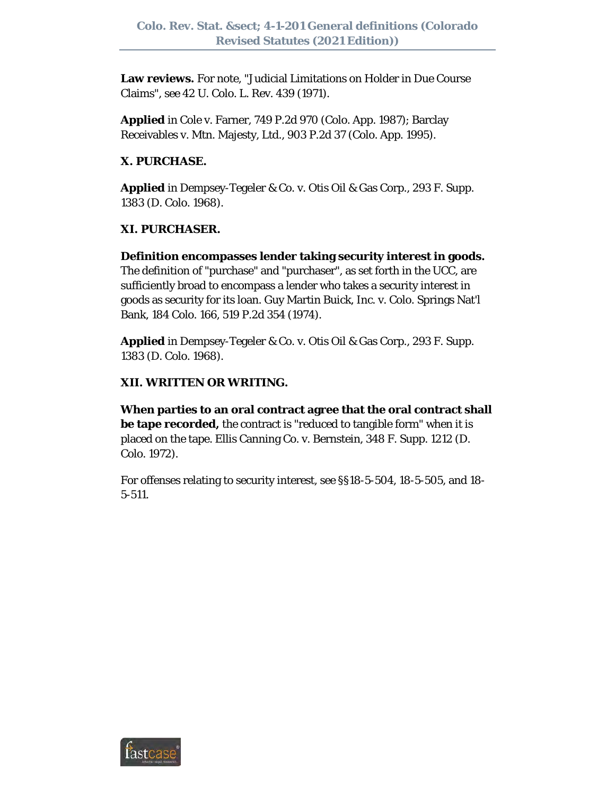**Law reviews.** For note, "Judicial Limitations on Holder in Due Course Claims", see 42 U. Colo. L. Rev. 439 (1971).

**Applied** in Cole v. Farner, 749 P.2d 970 (Colo. App. 1987); Barclay Receivables v. Mtn. Majesty, Ltd., 903 P.2d 37 (Colo. App. 1995).

**X. PURCHASE.**

**Applied** in Dempsey-Tegeler & Co. v. Otis Oil & Gas Corp., 293 F. Supp. 1383 (D. Colo. 1968).

**XI. PURCHASER.**

**Definition encompasses lender taking security interest in goods.** The definition of "purchase" and "purchaser", as set forth in the UCC, are sufficiently broad to encompass a lender who takes a security interest in goods as security for its loan. Guy Martin Buick, Inc. v. Colo. Springs Nat'l Bank, 184 Colo. 166, 519 P.2d 354 (1974).

**Applied** in Dempsey-Tegeler & Co. v. Otis Oil & Gas Corp., 293 F. Supp. 1383 (D. Colo. 1968).

**XII. WRITTEN OR WRITING.**

**When parties to an oral contract agree that the oral contract shall be tape recorded,** the contract is "reduced to tangible form" when it is placed on the tape. Ellis Canning Co. v. Bernstein, 348 F. Supp. 1212 (D. Colo. 1972).

For offenses relating to security interest, see §§18-5-504, 18-5-505, and 18- 5-511.

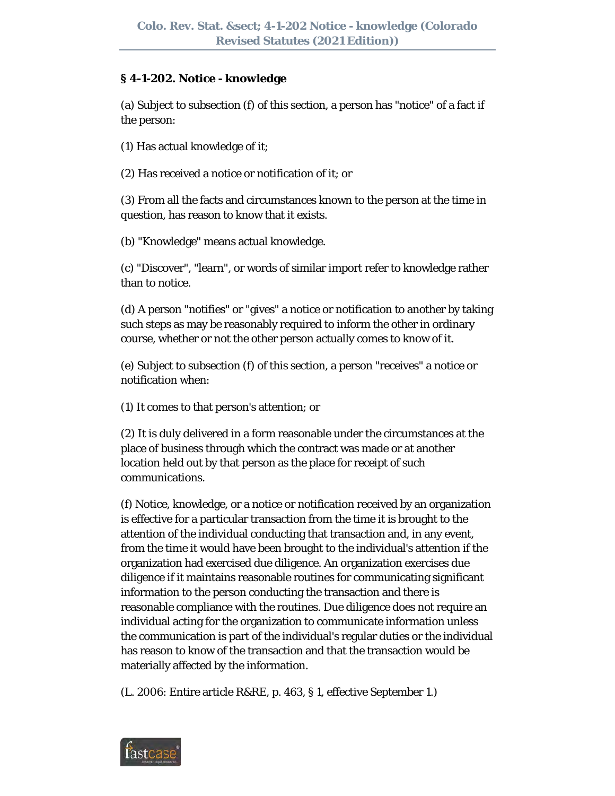#### **§ 4-1-202. Notice - knowledge**

(a) Subject to subsection (f) of this section, a person has "notice" of a fact if the person:

(1) Has actual knowledge of it;

(2) Has received a notice or notification of it; or

(3) From all the facts and circumstances known to the person at the time in question, has reason to know that it exists.

(b) "Knowledge" means actual knowledge.

(c) "Discover", "learn", or words of similar import refer to knowledge rather than to notice.

(d) A person "notifies" or "gives" a notice or notification to another by taking such steps as may be reasonably required to inform the other in ordinary course, whether or not the other person actually comes to know of it.

(e) Subject to subsection (f) of this section, a person "receives" a notice or notification when:

(1) It comes to that person's attention; or

(2) It is duly delivered in a form reasonable under the circumstances at the place of business through which the contract was made or at another location held out by that person as the place for receipt of such communications.

(f) Notice, knowledge, or a notice or notification received by an organization is effective for a particular transaction from the time it is brought to the attention of the individual conducting that transaction and, in any event, from the time it would have been brought to the individual's attention if the organization had exercised due diligence. An organization exercises due diligence if it maintains reasonable routines for communicating significant information to the person conducting the transaction and there is reasonable compliance with the routines. Due diligence does not require an individual acting for the organization to communicate information unless the communication is part of the individual's regular duties or the individual has reason to know of the transaction and that the transaction would be materially affected by the information.

(L. 2006: Entire article R&RE, p. 463, § 1, effective September 1.)

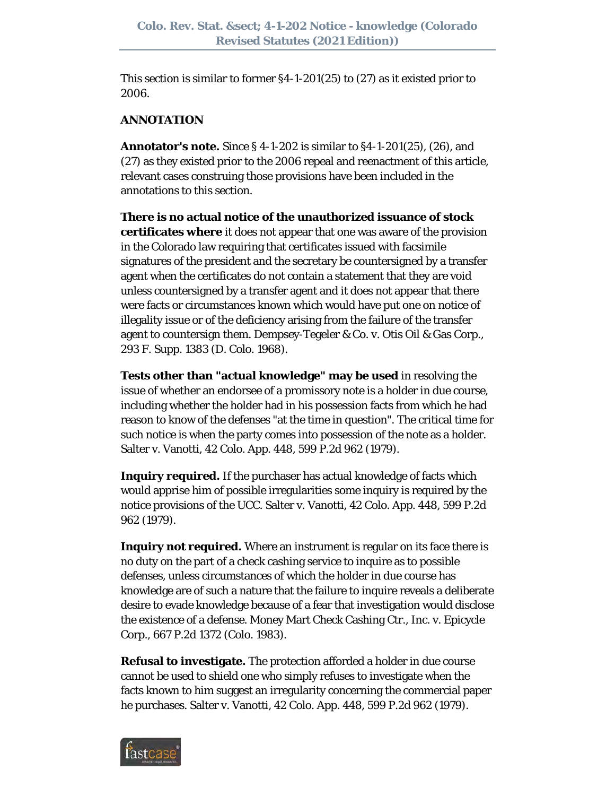This section is similar to former §4-1-201(25) to (27) as it existed prior to 2006.

#### **ANNOTATION**

**Annotator's note.** Since § 4-1-202 is similar to §4-1-201(25), (26), and (27) as they existed prior to the 2006 repeal and reenactment of this article, relevant cases construing those provisions have been included in the annotations to this section.

**There is no actual notice of the unauthorized issuance of stock certificates where** it does not appear that one was aware of the provision in the Colorado law requiring that certificates issued with facsimile signatures of the president and the secretary be countersigned by a transfer agent when the certificates do not contain a statement that they are void unless countersigned by a transfer agent and it does not appear that there were facts or circumstances known which would have put one on notice of illegality issue or of the deficiency arising from the failure of the transfer agent to countersign them. Dempsey-Tegeler & Co. v. Otis Oil & Gas Corp., 293 F. Supp. 1383 (D. Colo. 1968).

**Tests other than "actual knowledge" may be used** in resolving the issue of whether an endorsee of a promissory note is a holder in due course, including whether the holder had in his possession facts from which he had reason to know of the defenses "at the time in question". The critical time for such notice is when the party comes into possession of the note as a holder. Salter v. Vanotti, 42 Colo. App. 448, 599 P.2d 962 (1979).

**Inquiry required.** If the purchaser has actual knowledge of facts which would apprise him of possible irregularities some inquiry is required by the notice provisions of the UCC. Salter v. Vanotti, 42 Colo. App. 448, 599 P.2d 962 (1979).

**Inquiry not required.** Where an instrument is regular on its face there is no duty on the part of a check cashing service to inquire as to possible defenses, unless circumstances of which the holder in due course has knowledge are of such a nature that the failure to inquire reveals a deliberate desire to evade knowledge because of a fear that investigation would disclose the existence of a defense. Money Mart Check Cashing Ctr., Inc. v. Epicycle Corp., 667 P.2d 1372 (Colo. 1983).

**Refusal to investigate.** The protection afforded a holder in due course cannot be used to shield one who simply refuses to investigate when the facts known to him suggest an irregularity concerning the commercial paper he purchases. Salter v. Vanotti, 42 Colo. App. 448, 599 P.2d 962 (1979).

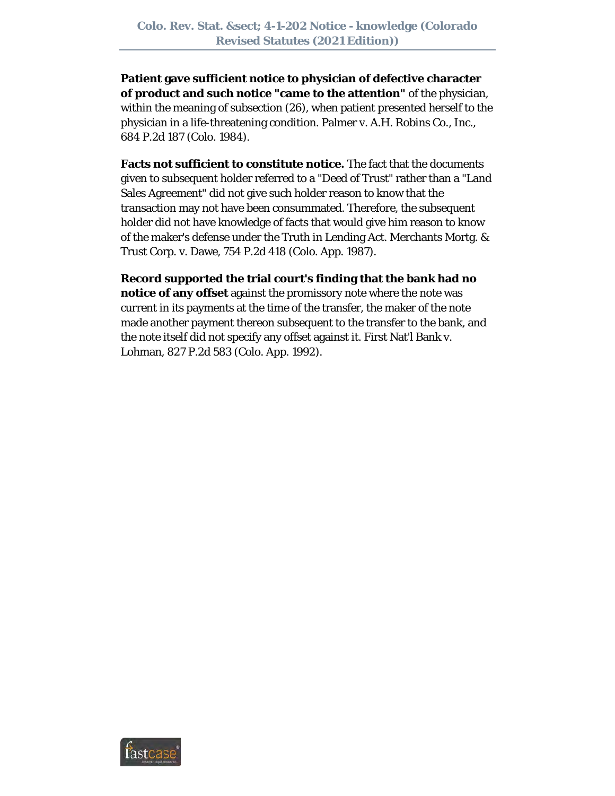**Patient gave sufficient notice to physician of defective character of product and such notice "came to the attention"** of the physician, within the meaning of subsection (26), when patient presented herself to the physician in a life-threatening condition. Palmer v. A.H. Robins Co., Inc., 684 P.2d 187 (Colo. 1984).

**Facts not sufficient to constitute notice.** The fact that the documents given to subsequent holder referred to a "Deed of Trust" rather than a "Land Sales Agreement" did not give such holder reason to know that the transaction may not have been consummated. Therefore, the subsequent holder did not have knowledge of facts that would give him reason to know of the maker's defense under the Truth in Lending Act. Merchants Mortg. & Trust Corp. v. Dawe, 754 P.2d 418 (Colo. App. 1987).

**Record supported the trial court's finding that the bank had no notice of any offset** against the promissory note where the note was current in its payments at the time of the transfer, the maker of the note made another payment thereon subsequent to the transfer to the bank, and the note itself did not specify any offset against it. First Nat'l Bank v. Lohman, 827 P.2d 583 (Colo. App. 1992).

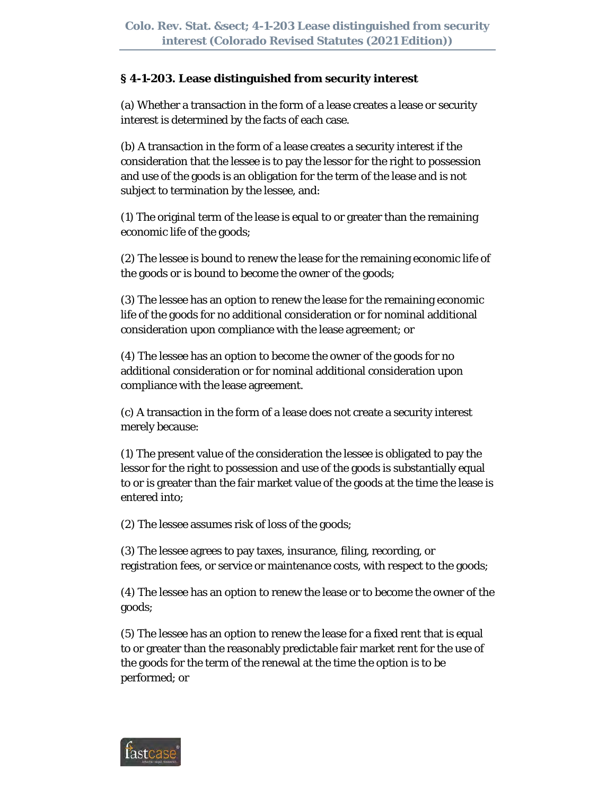#### **§ 4-1-203. Lease distinguished from security interest**

(a) Whether a transaction in the form of a lease creates a lease or security interest is determined by the facts of each case.

(b) A transaction in the form of a lease creates a security interest if the consideration that the lessee is to pay the lessor for the right to possession and use of the goods is an obligation for the term of the lease and is not subject to termination by the lessee, and:

(1) The original term of the lease is equal to or greater than the remaining economic life of the goods;

(2) The lessee is bound to renew the lease for the remaining economic life of the goods or is bound to become the owner of the goods;

(3) The lessee has an option to renew the lease for the remaining economic life of the goods for no additional consideration or for nominal additional consideration upon compliance with the lease agreement; or

(4) The lessee has an option to become the owner of the goods for no additional consideration or for nominal additional consideration upon compliance with the lease agreement.

(c) A transaction in the form of a lease does not create a security interest merely because:

(1) The present value of the consideration the lessee is obligated to pay the lessor for the right to possession and use of the goods is substantially equal to or is greater than the fair market value of the goods at the time the lease is entered into;

(2) The lessee assumes risk of loss of the goods;

(3) The lessee agrees to pay taxes, insurance, filing, recording, or registration fees, or service or maintenance costs, with respect to the goods;

(4) The lessee has an option to renew the lease or to become the owner of the goods;

(5) The lessee has an option to renew the lease for a fixed rent that is equal to or greater than the reasonably predictable fair market rent for the use of the goods for the term of the renewal at the time the option is to be performed; or

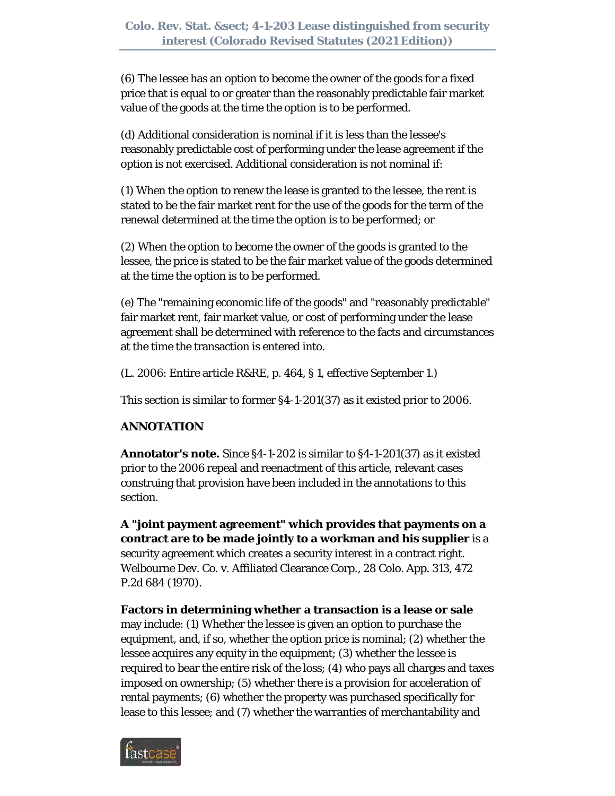(6) The lessee has an option to become the owner of the goods for a fixed price that is equal to or greater than the reasonably predictable fair market value of the goods at the time the option is to be performed.

(d) Additional consideration is nominal if it is less than the lessee's reasonably predictable cost of performing under the lease agreement if the option is not exercised. Additional consideration is not nominal if:

(1) When the option to renew the lease is granted to the lessee, the rent is stated to be the fair market rent for the use of the goods for the term of the renewal determined at the time the option is to be performed; or

(2) When the option to become the owner of the goods is granted to the lessee, the price is stated to be the fair market value of the goods determined at the time the option is to be performed.

(e) The "remaining economic life of the goods" and "reasonably predictable" fair market rent, fair market value, or cost of performing under the lease agreement shall be determined with reference to the facts and circumstances at the time the transaction is entered into.

(L. 2006: Entire article R&RE, p. 464, § 1, effective September 1.)

This section is similar to former §4-1-201(37) as it existed prior to 2006.

# **ANNOTATION**

**Annotator's note.** Since §4-1-202 is similar to §4-1-201(37) as it existed prior to the 2006 repeal and reenactment of this article, relevant cases construing that provision have been included in the annotations to this section.

**A "joint payment agreement" which provides that payments on a contract are to be made jointly to a workman and his supplier** is a security agreement which creates a security interest in a contract right. Welbourne Dev. Co. v. Affiliated Clearance Corp., 28 Colo. App. 313, 472 P.2d 684 (1970).

**Factors in determining whether a transaction is a lease or sale** may include: (1) Whether the lessee is given an option to purchase the equipment, and, if so, whether the option price is nominal; (2) whether the lessee acquires any equity in the equipment; (3) whether the lessee is required to bear the entire risk of the loss; (4) who pays all charges and taxes imposed on ownership; (5) whether there is a provision for acceleration of rental payments; (6) whether the property was purchased specifically for lease to this lessee; and (7) whether the warranties of merchantability and

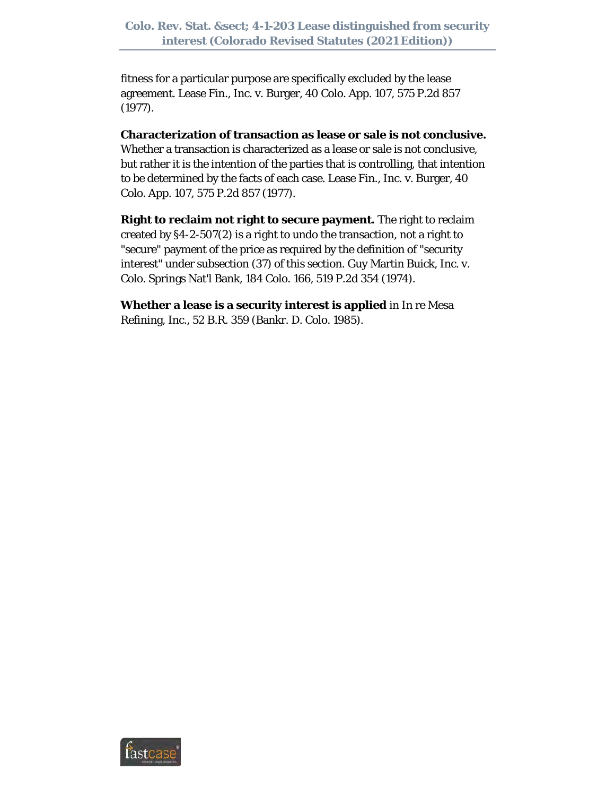fitness for a particular purpose are specifically excluded by the lease agreement. Lease Fin., Inc. v. Burger, 40 Colo. App. 107, 575 P.2d 857 (1977).

**Characterization of transaction as lease or sale is not conclusive.** Whether a transaction is characterized as a lease or sale is not conclusive, but rather it is the intention of the parties that is controlling, that intention to be determined by the facts of each case. Lease Fin., Inc. v. Burger, 40 Colo. App. 107, 575 P.2d 857 (1977).

**Right to reclaim not right to secure payment.** The right to reclaim created by §4-2-507(2) is a right to undo the transaction, not a right to "secure" payment of the price as required by the definition of "security interest" under subsection (37) of this section. Guy Martin Buick, Inc. v. Colo. Springs Nat'l Bank, 184 Colo. 166, 519 P.2d 354 (1974).

**Whether a lease is a security interest is applied** in In re Mesa Refining, Inc., 52 B.R. 359 (Bankr. D. Colo. 1985).

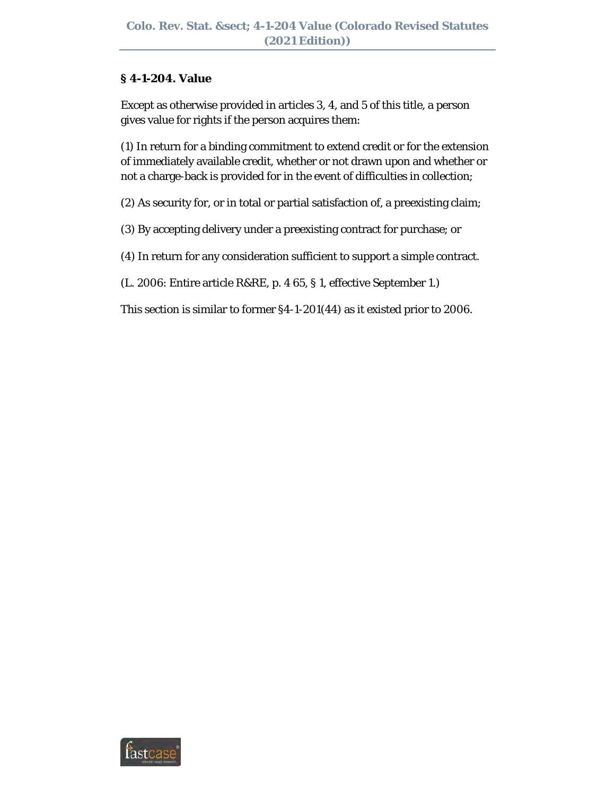#### **§ 4-1-204. Value**

Except as otherwise provided in articles 3, 4, and 5 of this title, a person gives value for rights if the person acquires them:

(1) In return for a binding commitment to extend credit or for the extension of immediately available credit, whether or not drawn upon and whether or not a charge-back is provided for in the event of difficulties in collection;

(2) As security for, or in total or partial satisfaction of, a preexisting claim;

(3) By accepting delivery under a preexisting contract for purchase; or

(4) In return for any consideration sufficient to support a simple contract.

(L. 2006: Entire article R&RE, p. 4 65, § 1, effective September 1.)

This section is similar to former §4-1-201(44) as it existed prior to 2006.

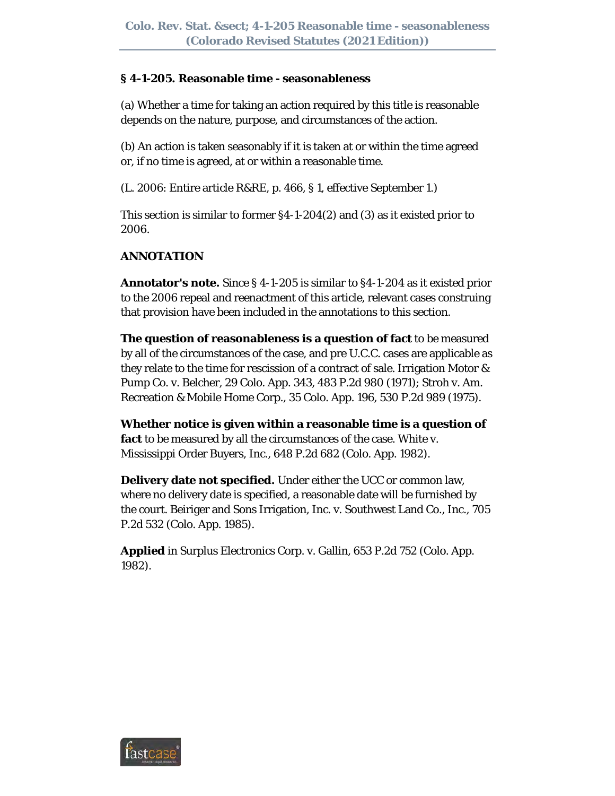#### **§ 4-1-205. Reasonable time - seasonableness**

(a) Whether a time for taking an action required by this title is reasonable depends on the nature, purpose, and circumstances of the action.

(b) An action is taken seasonably if it is taken at or within the time agreed or, if no time is agreed, at or within a reasonable time.

(L. 2006: Entire article R&RE, p. 466, § 1, effective September 1.)

This section is similar to former §4-1-204(2) and (3) as it existed prior to 2006.

#### **ANNOTATION**

**Annotator's note.** Since § 4-1-205 is similar to §4-1-204 as it existed prior to the 2006 repeal and reenactment of this article, relevant cases construing that provision have been included in the annotations to this section.

**The question of reasonableness is a question of fact** to be measured by all of the circumstances of the case, and pre U.C.C. cases are applicable as they relate to the time for rescission of a contract of sale. Irrigation Motor & Pump Co. v. Belcher, 29 Colo. App. 343, 483 P.2d 980 (1971); Stroh v. Am. Recreation & Mobile Home Corp., 35 Colo. App. 196, 530 P.2d 989 (1975).

**Whether notice is given within a reasonable time is a question of fact** to be measured by all the circumstances of the case. White v. Mississippi Order Buyers, Inc., 648 P.2d 682 (Colo. App. 1982).

**Delivery date not specified.** Under either the UCC or common law, where no delivery date is specified, a reasonable date will be furnished by the court. Beiriger and Sons Irrigation, Inc. v. Southwest Land Co., Inc., 705 P.2d 532 (Colo. App. 1985).

**Applied** in Surplus Electronics Corp. v. Gallin, 653 P.2d 752 (Colo. App. 1982).

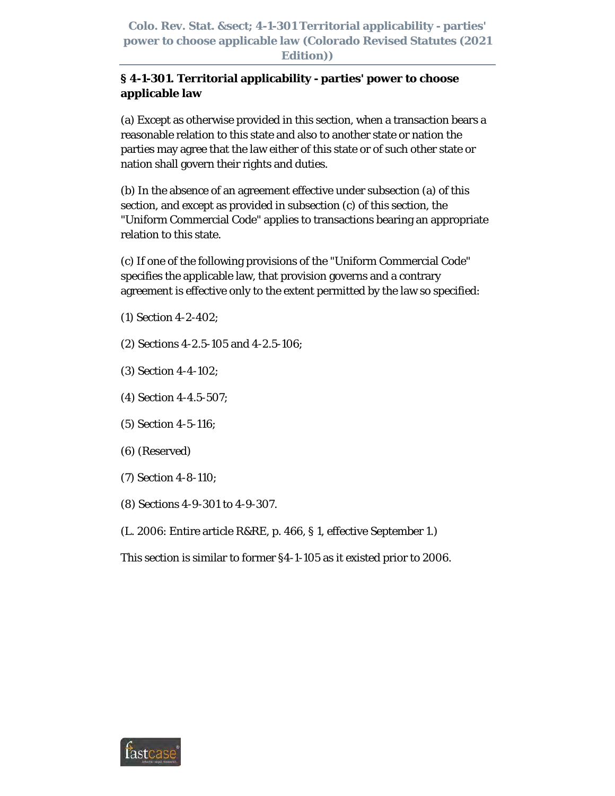**Colo. Rev. Stat. § 4-1-301 Territorial applicability - parties' power to choose applicable law (Colorado Revised Statutes (2021 Edition))**

**§ 4-1-301. Territorial applicability - parties' power to choose applicable law** 

(a) Except as otherwise provided in this section, when a transaction bears a reasonable relation to this state and also to another state or nation the parties may agree that the law either of this state or of such other state or nation shall govern their rights and duties.

(b) In the absence of an agreement effective under subsection (a) of this section, and except as provided in subsection (c) of this section, the "Uniform Commercial Code" applies to transactions bearing an appropriate relation to this state.

(c) If one of the following provisions of the "Uniform Commercial Code" specifies the applicable law, that provision governs and a contrary agreement is effective only to the extent permitted by the law so specified:

- (1) Section 4-2-402;
- (2) Sections 4-2.5-105 and 4-2.5-106;
- (3) Section 4-4-102;
- (4) Section 4-4.5-507;
- (5) Section 4-5-116;
- (6) (Reserved)
- (7) Section 4-8-110;
- (8) Sections 4-9-301 to 4-9-307.
- (L. 2006: Entire article R&RE, p. 466, § 1, effective September 1.)

This section is similar to former §4-1-105 as it existed prior to 2006.

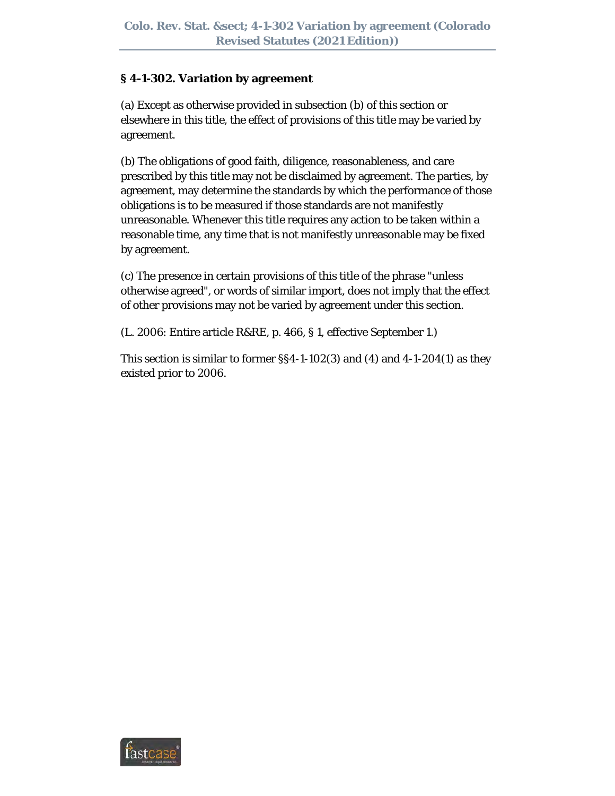## **§ 4-1-302. Variation by agreement**

(a) Except as otherwise provided in subsection (b) of this section or elsewhere in this title, the effect of provisions of this title may be varied by agreement.

(b) The obligations of good faith, diligence, reasonableness, and care prescribed by this title may not be disclaimed by agreement. The parties, by agreement, may determine the standards by which the performance of those obligations is to be measured if those standards are not manifestly unreasonable. Whenever this title requires any action to be taken within a reasonable time, any time that is not manifestly unreasonable may be fixed by agreement.

(c) The presence in certain provisions of this title of the phrase "unless otherwise agreed", or words of similar import, does not imply that the effect of other provisions may not be varied by agreement under this section.

(L. 2006: Entire article R&RE, p. 466, § 1, effective September 1.)

This section is similar to former §§4-1-102(3) and (4) and 4-1-204(1) as they existed prior to 2006.

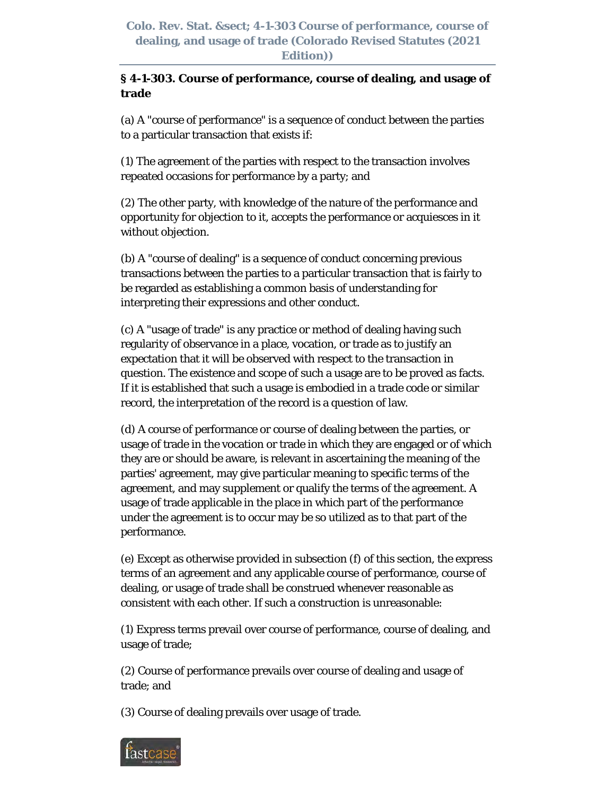**§ 4-1-303. Course of performance, course of dealing, and usage of trade** 

(a) A "course of performance" is a sequence of conduct between the parties to a particular transaction that exists if:

(1) The agreement of the parties with respect to the transaction involves repeated occasions for performance by a party; and

(2) The other party, with knowledge of the nature of the performance and opportunity for objection to it, accepts the performance or acquiesces in it without objection.

(b) A "course of dealing" is a sequence of conduct concerning previous transactions between the parties to a particular transaction that is fairly to be regarded as establishing a common basis of understanding for interpreting their expressions and other conduct.

(c) A "usage of trade" is any practice or method of dealing having such regularity of observance in a place, vocation, or trade as to justify an expectation that it will be observed with respect to the transaction in question. The existence and scope of such a usage are to be proved as facts. If it is established that such a usage is embodied in a trade code or similar record, the interpretation of the record is a question of law.

(d) A course of performance or course of dealing between the parties, or usage of trade in the vocation or trade in which they are engaged or of which they are or should be aware, is relevant in ascertaining the meaning of the parties' agreement, may give particular meaning to specific terms of the agreement, and may supplement or qualify the terms of the agreement. A usage of trade applicable in the place in which part of the performance under the agreement is to occur may be so utilized as to that part of the performance.

(e) Except as otherwise provided in subsection (f) of this section, the express terms of an agreement and any applicable course of performance, course of dealing, or usage of trade shall be construed whenever reasonable as consistent with each other. If such a construction is unreasonable:

(1) Express terms prevail over course of performance, course of dealing, and usage of trade;

(2) Course of performance prevails over course of dealing and usage of trade; and

(3) Course of dealing prevails over usage of trade.

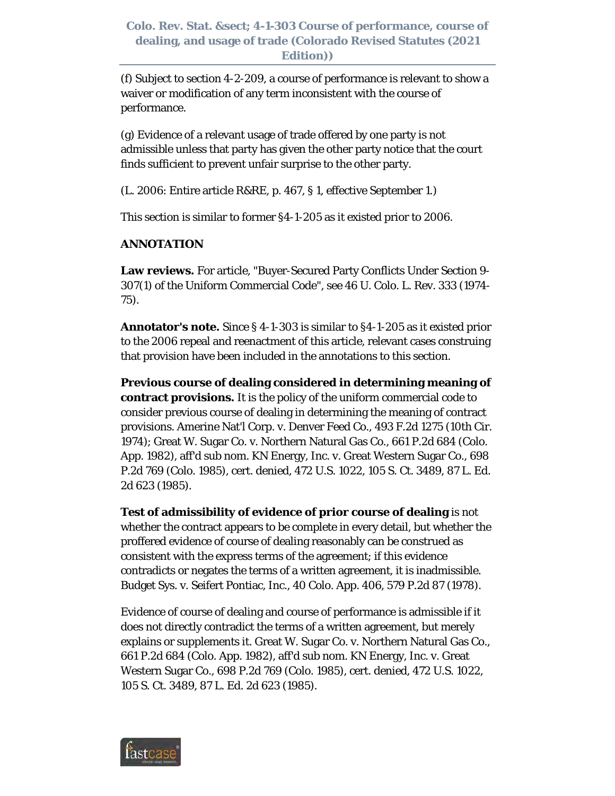(f) Subject to section 4-2-209, a course of performance is relevant to show a waiver or modification of any term inconsistent with the course of performance.

(g) Evidence of a relevant usage of trade offered by one party is not admissible unless that party has given the other party notice that the court finds sufficient to prevent unfair surprise to the other party.

(L. 2006: Entire article R&RE, p. 467, § 1, effective September 1.)

This section is similar to former §4-1-205 as it existed prior to 2006.

## **ANNOTATION**

**Law reviews.** For article, "Buyer-Secured Party Conflicts Under Section 9- 307(1) of the Uniform Commercial Code", see 46 U. Colo. L. Rev. 333 (1974- 75).

**Annotator's note.** Since § 4-1-303 is similar to §4-1-205 as it existed prior to the 2006 repeal and reenactment of this article, relevant cases construing that provision have been included in the annotations to this section.

**Previous course of dealing considered in determining meaning of contract provisions.** It is the policy of the uniform commercial code to consider previous course of dealing in determining the meaning of contract provisions. Amerine Nat'l Corp. v. Denver Feed Co., 493 F.2d 1275 (10th Cir. 1974); Great W. Sugar Co. v. Northern Natural Gas Co., 661 P.2d 684 (Colo. App. 1982), aff'd sub nom. KN Energy, Inc. v. Great Western Sugar Co., 698 P.2d 769 (Colo. 1985), cert. denied, 472 U.S. 1022, 105 S. Ct. 3489, 87 L. Ed. 2d 623 (1985).

**Test of admissibility of evidence of prior course of dealing** is not whether the contract appears to be complete in every detail, but whether the proffered evidence of course of dealing reasonably can be construed as consistent with the express terms of the agreement; if this evidence contradicts or negates the terms of a written agreement, it is inadmissible. Budget Sys. v. Seifert Pontiac, Inc., 40 Colo. App. 406, 579 P.2d 87 (1978).

Evidence of course of dealing and course of performance is admissible if it does not directly contradict the terms of a written agreement, but merely explains or supplements it. Great W. Sugar Co. v. Northern Natural Gas Co., 661 P.2d 684 (Colo. App. 1982), aff'd sub nom. KN Energy, Inc. v. Great Western Sugar Co., 698 P.2d 769 (Colo. 1985), cert. denied, 472 U.S. 1022, 105 S. Ct. 3489, 87 L. Ed. 2d 623 (1985).

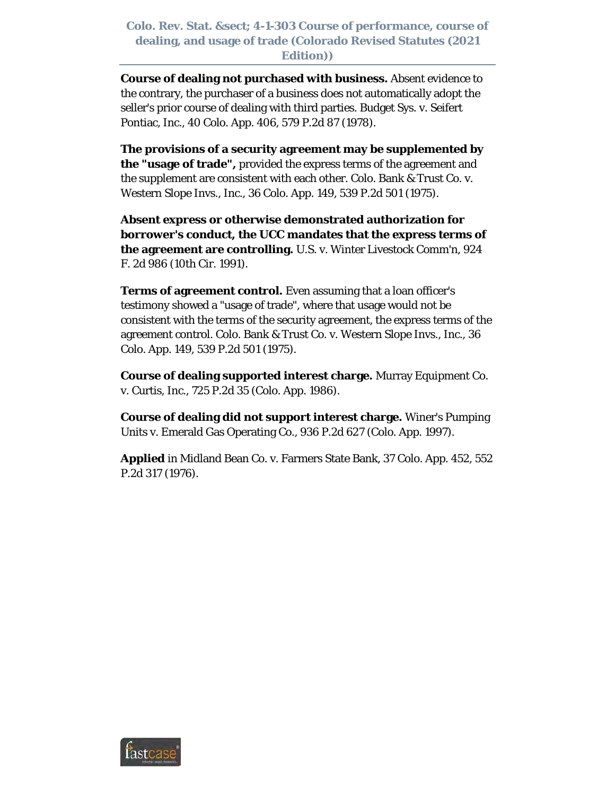#### **Colo. Rev. Stat. § 4-1-303 Course of performance, course of dealing, and usage of trade (Colorado Revised Statutes (2021 Edition))**

**Course of dealing not purchased with business.** Absent evidence to the contrary, the purchaser of a business does not automatically adopt the seller's prior course of dealing with third parties. Budget Sys. v. Seifert Pontiac, Inc., 40 Colo. App. 406, 579 P.2d 87 (1978).

**The provisions of a security agreement may be supplemented by the "usage of trade",** provided the express terms of the agreement and the supplement are consistent with each other. Colo. Bank & Trust Co. v. Western Slope Invs., Inc., 36 Colo. App. 149, 539 P.2d 501 (1975).

**Absent express or otherwise demonstrated authorization for borrower's conduct, the UCC mandates that the express terms of the agreement are controlling.** U.S. v. Winter Livestock Comm'n, 924 F. 2d 986 (10th Cir. 1991).

**Terms of agreement control.** Even assuming that a loan officer's testimony showed a "usage of trade", where that usage would not be consistent with the terms of the security agreement, the express terms of the agreement control. Colo. Bank & Trust Co. v. Western Slope Invs., Inc., 36 Colo. App. 149, 539 P.2d 501 (1975).

**Course of dealing supported interest charge.** Murray Equipment Co. v. Curtis, Inc., 725 P.2d 35 (Colo. App. 1986).

**Course of dealing did not support interest charge.** Winer's Pumping Units v. Emerald Gas Operating Co., 936 P.2d 627 (Colo. App. 1997).

**Applied** in Midland Bean Co. v. Farmers State Bank, 37 Colo. App. 452, 552 P.2d 317 (1976).

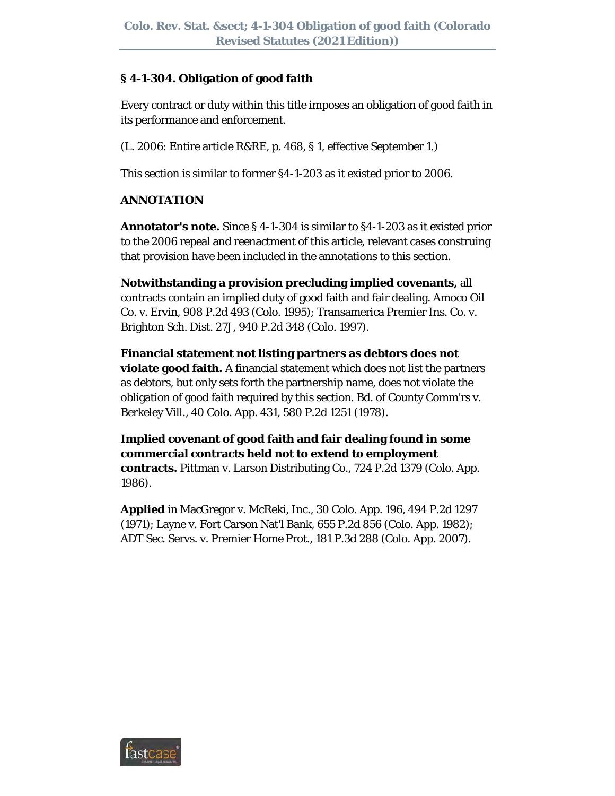### **§ 4-1-304. Obligation of good faith**

Every contract or duty within this title imposes an obligation of good faith in its performance and enforcement.

(L. 2006: Entire article R&RE, p. 468, § 1, effective September 1.)

This section is similar to former §4-1-203 as it existed prior to 2006.

#### **ANNOTATION**

**Annotator's note.** Since § 4-1-304 is similar to §4-1-203 as it existed prior to the 2006 repeal and reenactment of this article, relevant cases construing that provision have been included in the annotations to this section.

**Notwithstanding a provision precluding implied covenants,** all contracts contain an implied duty of good faith and fair dealing. Amoco Oil Co. v. Ervin, 908 P.2d 493 (Colo. 1995); Transamerica Premier Ins. Co. v. Brighton Sch. Dist. 27J, 940 P.2d 348 (Colo. 1997).

**Financial statement not listing partners as debtors does not violate good faith.** A financial statement which does not list the partners as debtors, but only sets forth the partnership name, does not violate the obligation of good faith required by this section. Bd. of County Comm'rs v. Berkeley Vill., 40 Colo. App. 431, 580 P.2d 1251 (1978).

**Implied covenant of good faith and fair dealing found in some commercial contracts held not to extend to employment contracts.** Pittman v. Larson Distributing Co., 724 P.2d 1379 (Colo. App. 1986).

**Applied** in MacGregor v. McReki, Inc., 30 Colo. App. 196, 494 P.2d 1297 (1971); Layne v. Fort Carson Nat'l Bank, 655 P.2d 856 (Colo. App. 1982); ADT Sec. Servs. v. Premier Home Prot., 181 P.3d 288 (Colo. App. 2007).

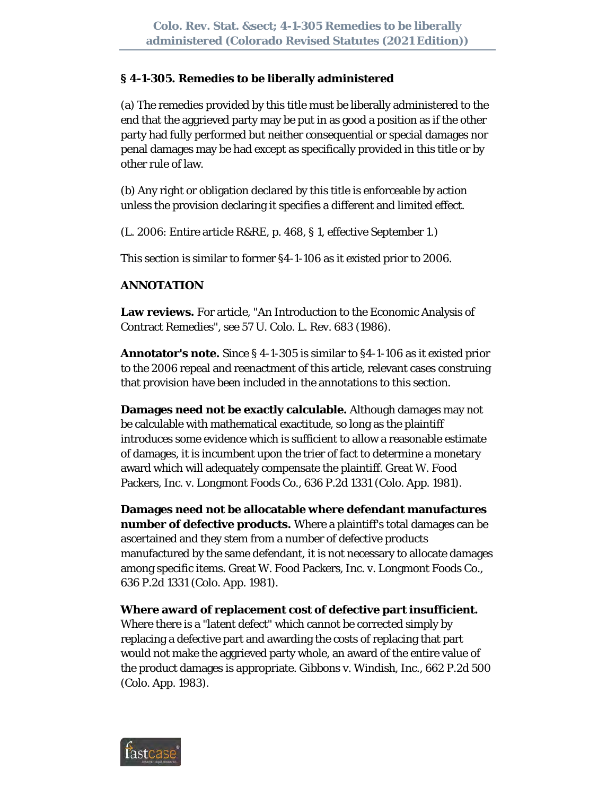### **§ 4-1-305. Remedies to be liberally administered**

(a) The remedies provided by this title must be liberally administered to the end that the aggrieved party may be put in as good a position as if the other party had fully performed but neither consequential or special damages nor penal damages may be had except as specifically provided in this title or by other rule of law.

(b) Any right or obligation declared by this title is enforceable by action unless the provision declaring it specifies a different and limited effect.

(L. 2006: Entire article R&RE, p. 468, § 1, effective September 1.)

This section is similar to former §4-1-106 as it existed prior to 2006.

#### **ANNOTATION**

**Law reviews.** For article, "An Introduction to the Economic Analysis of Contract Remedies", see 57 U. Colo. L. Rev. 683 (1986).

**Annotator's note.** Since § 4-1-305 is similar to §4-1-106 as it existed prior to the 2006 repeal and reenactment of this article, relevant cases construing that provision have been included in the annotations to this section.

**Damages need not be exactly calculable.** Although damages may not be calculable with mathematical exactitude, so long as the plaintiff introduces some evidence which is sufficient to allow a reasonable estimate of damages, it is incumbent upon the trier of fact to determine a monetary award which will adequately compensate the plaintiff. Great W. Food Packers, Inc. v. Longmont Foods Co., 636 P.2d 1331 (Colo. App. 1981).

**Damages need not be allocatable where defendant manufactures number of defective products.** Where a plaintiff's total damages can be ascertained and they stem from a number of defective products manufactured by the same defendant, it is not necessary to allocate damages among specific items. Great W. Food Packers, Inc. v. Longmont Foods Co., 636 P.2d 1331 (Colo. App. 1981).

**Where award of replacement cost of defective part insufficient.** Where there is a "latent defect" which cannot be corrected simply by replacing a defective part and awarding the costs of replacing that part would not make the aggrieved party whole, an award of the entire value of the product damages is appropriate. Gibbons v. Windish, Inc., 662 P.2d 500 (Colo. App. 1983).

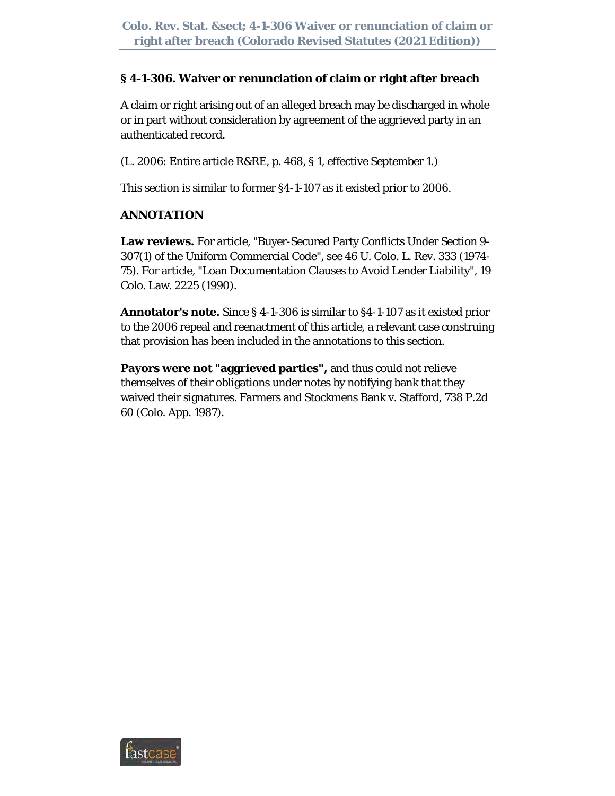**§ 4-1-306. Waiver or renunciation of claim or right after breach** 

A claim or right arising out of an alleged breach may be discharged in whole or in part without consideration by agreement of the aggrieved party in an authenticated record.

(L. 2006: Entire article R&RE, p. 468, § 1, effective September 1.)

This section is similar to former §4-1-107 as it existed prior to 2006.

## **ANNOTATION**

**Law reviews.** For article, "Buyer-Secured Party Conflicts Under Section 9- 307(1) of the Uniform Commercial Code", see 46 U. Colo. L. Rev. 333 (1974- 75). For article, "Loan Documentation Clauses to Avoid Lender Liability", 19 Colo. Law. 2225 (1990).

**Annotator's note.** Since § 4-1-306 is similar to §4-1-107 as it existed prior to the 2006 repeal and reenactment of this article, a relevant case construing that provision has been included in the annotations to this section.

**Payors were not "aggrieved parties",** and thus could not relieve themselves of their obligations under notes by notifying bank that they waived their signatures. Farmers and Stockmens Bank v. Stafford, 738 P.2d 60 (Colo. App. 1987).

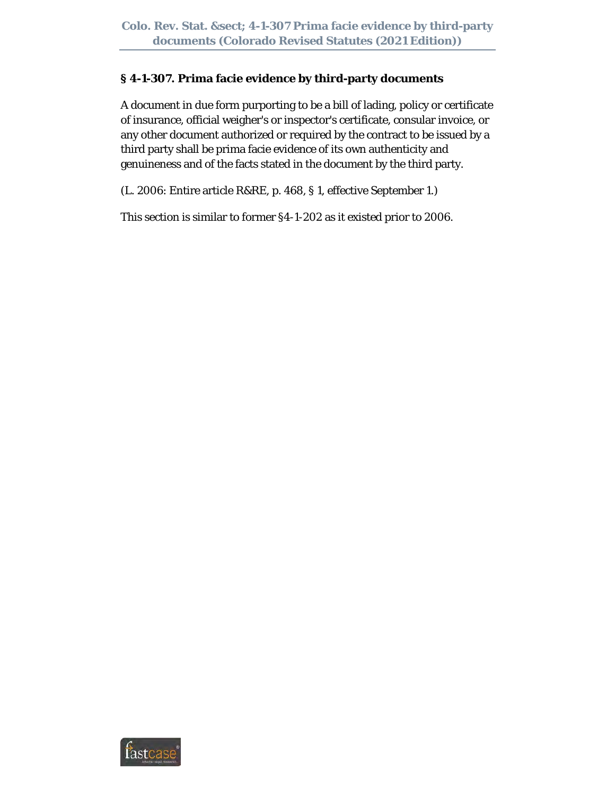## **§ 4-1-307. Prima facie evidence by third-party documents**

A document in due form purporting to be a bill of lading, policy or certificate of insurance, official weigher's or inspector's certificate, consular invoice, or any other document authorized or required by the contract to be issued by a third party shall be prima facie evidence of its own authenticity and genuineness and of the facts stated in the document by the third party.

(L. 2006: Entire article R&RE, p. 468, § 1, effective September 1.)

This section is similar to former §4-1-202 as it existed prior to 2006.

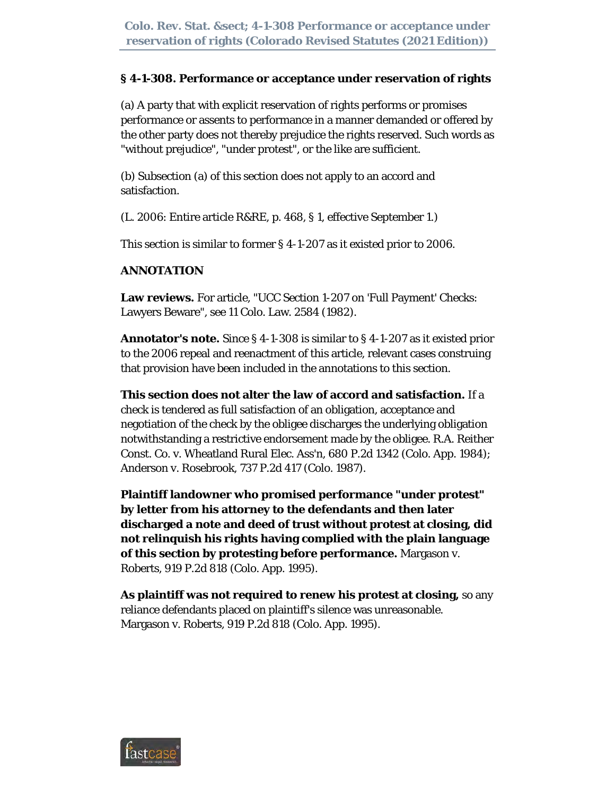**§ 4-1-308. Performance or acceptance under reservation of rights** 

(a) A party that with explicit reservation of rights performs or promises performance or assents to performance in a manner demanded or offered by the other party does not thereby prejudice the rights reserved. Such words as "without prejudice", "under protest", or the like are sufficient.

(b) Subsection (a) of this section does not apply to an accord and satisfaction.

(L. 2006: Entire article R&RE, p. 468, § 1, effective September 1.)

This section is similar to former § 4-1-207 as it existed prior to 2006.

# **ANNOTATION**

**Law reviews.** For article, "UCC Section 1-207 on 'Full Payment' Checks: Lawyers Beware", see 11 Colo. Law. 2584 (1982).

**Annotator's note.** Since § 4-1-308 is similar to § 4-1-207 as it existed prior to the 2006 repeal and reenactment of this article, relevant cases construing that provision have been included in the annotations to this section.

**This section does not alter the law of accord and satisfaction.** If a check is tendered as full satisfaction of an obligation, acceptance and negotiation of the check by the obligee discharges the underlying obligation notwithstanding a restrictive endorsement made by the obligee. R.A. Reither Const. Co. v. Wheatland Rural Elec. Ass'n, 680 P.2d 1342 (Colo. App. 1984); Anderson v. Rosebrook, 737 P.2d 417 (Colo. 1987).

**Plaintiff landowner who promised performance "under protest" by letter from his attorney to the defendants and then later discharged a note and deed of trust without protest at closing, did not relinquish his rights having complied with the plain language of this section by protesting before performance.** Margason v. Roberts, 919 P.2d 818 (Colo. App. 1995).

**As plaintiff was not required to renew his protest at closing,** so any reliance defendants placed on plaintiff's silence was unreasonable. Margason v. Roberts, 919 P.2d 818 (Colo. App. 1995).

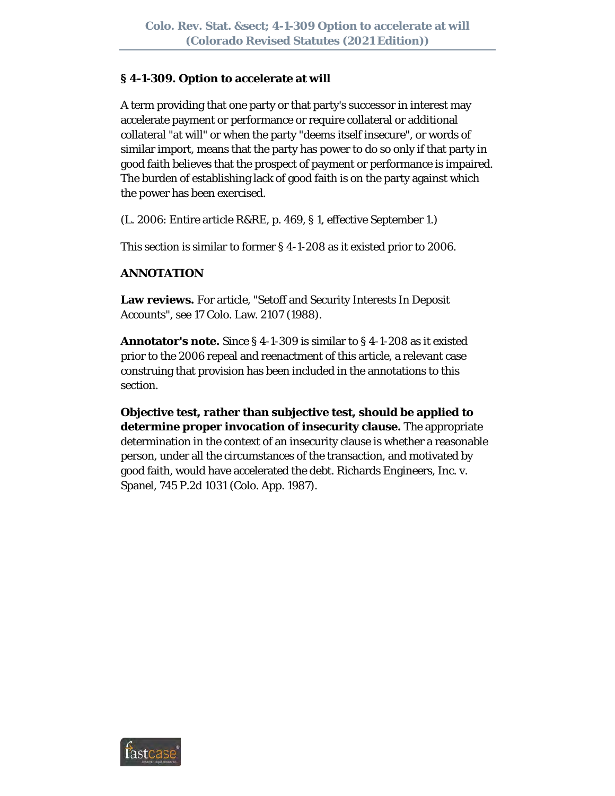## **§ 4-1-309. Option to accelerate at will**

A term providing that one party or that party's successor in interest may accelerate payment or performance or require collateral or additional collateral "at will" or when the party "deems itself insecure", or words of similar import, means that the party has power to do so only if that party in good faith believes that the prospect of payment or performance is impaired. The burden of establishing lack of good faith is on the party against which the power has been exercised.

(L. 2006: Entire article R&RE, p. 469, § 1, effective September 1.)

This section is similar to former § 4-1-208 as it existed prior to 2006.

#### **ANNOTATION**

**Law reviews.** For article, "Setoff and Security Interests In Deposit Accounts", see 17 Colo. Law. 2107 (1988).

**Annotator's note.** Since § 4-1-309 is similar to § 4-1-208 as it existed prior to the 2006 repeal and reenactment of this article, a relevant case construing that provision has been included in the annotations to this section.

**Objective test, rather than subjective test, should be applied to determine proper invocation of insecurity clause.** The appropriate determination in the context of an insecurity clause is whether a reasonable person, under all the circumstances of the transaction, and motivated by good faith, would have accelerated the debt. Richards Engineers, Inc. v. Spanel, 745 P.2d 1031 (Colo. App. 1987).

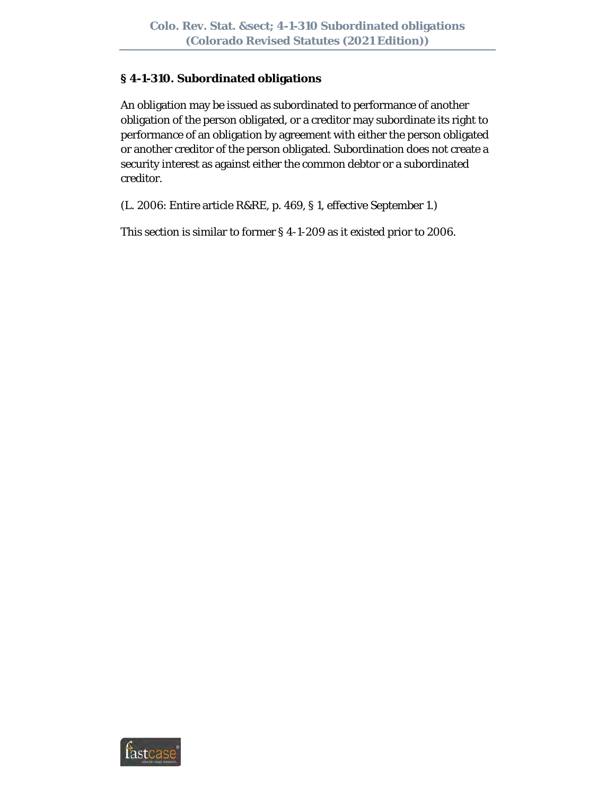## **§ 4-1-310. Subordinated obligations**

An obligation may be issued as subordinated to performance of another obligation of the person obligated, or a creditor may subordinate its right to performance of an obligation by agreement with either the person obligated or another creditor of the person obligated. Subordination does not create a security interest as against either the common debtor or a subordinated creditor.

(L. 2006: Entire article R&RE, p. 469, § 1, effective September 1.)

This section is similar to former § 4-1-209 as it existed prior to 2006.

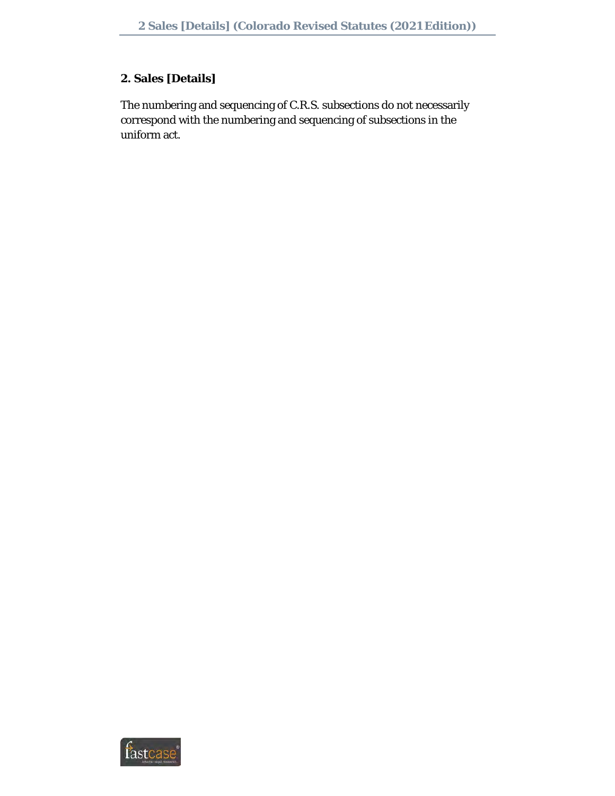# **2. Sales [Details]**

The numbering and sequencing of C.R.S. subsections do not necessarily correspond with the numbering and sequencing of subsections in the uniform act.

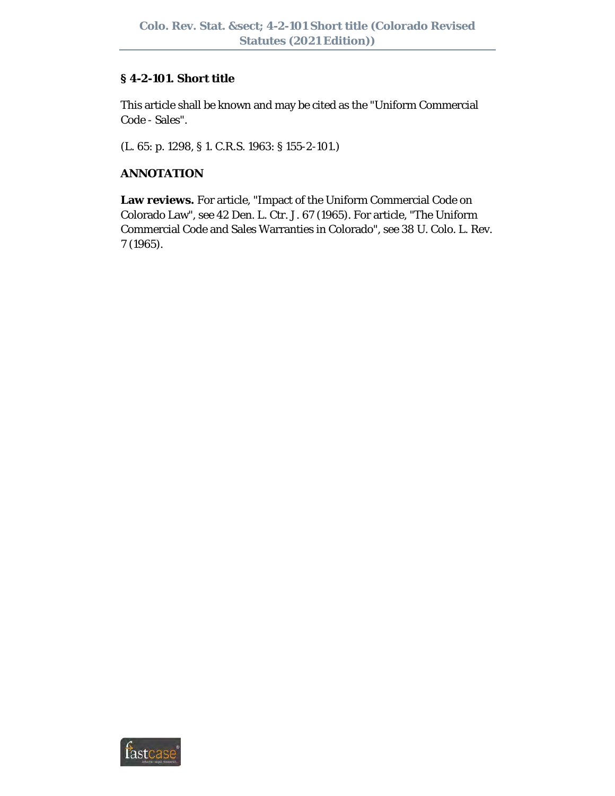#### **§ 4-2-101. Short title**

This article shall be known and may be cited as the "Uniform Commercial Code - Sales".

(L. 65: p. 1298, § 1. C.R.S. 1963: § 155-2-101.)

#### **ANNOTATION**

**Law reviews.** For article, "Impact of the Uniform Commercial Code on Colorado Law", see 42 Den. L. Ctr. J. 67 (1965). For article, "The Uniform Commercial Code and Sales Warranties in Colorado", see 38 U. Colo. L. Rev. 7 (1965).

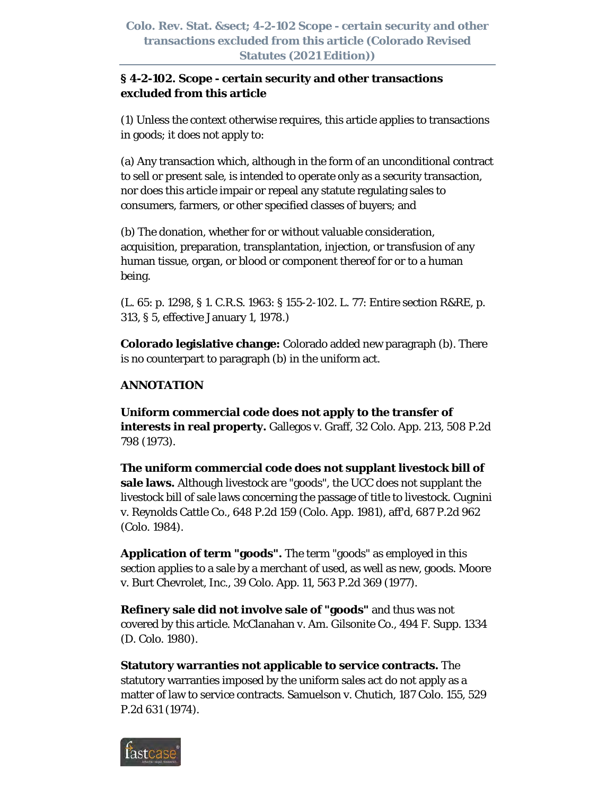**§ 4-2-102. Scope - certain security and other transactions excluded from this article** 

(1) Unless the context otherwise requires, this article applies to transactions in goods; it does not apply to:

(a) Any transaction which, although in the form of an unconditional contract to sell or present sale, is intended to operate only as a security transaction, nor does this article impair or repeal any statute regulating sales to consumers, farmers, or other specified classes of buyers; and

(b) The donation, whether for or without valuable consideration, acquisition, preparation, transplantation, injection, or transfusion of any human tissue, organ, or blood or component thereof for or to a human being.

(L. 65: p. 1298, § 1. C.R.S. 1963: § 155-2-102. L. 77: Entire section R&RE, p. 313, § 5, effective January 1, 1978.)

**Colorado legislative change:** Colorado added new paragraph (b). There is no counterpart to paragraph (b) in the uniform act.

## **ANNOTATION**

**Uniform commercial code does not apply to the transfer of interests in real property.** Gallegos v. Graff, 32 Colo. App. 213, 508 P.2d 798 (1973).

**The uniform commercial code does not supplant livestock bill of sale laws.** Although livestock are "goods", the UCC does not supplant the livestock bill of sale laws concerning the passage of title to livestock. Cugnini v. Reynolds Cattle Co., 648 P.2d 159 (Colo. App. 1981), aff'd, 687 P.2d 962 (Colo. 1984).

**Application of term "goods".** The term "goods" as employed in this section applies to a sale by a merchant of used, as well as new, goods. Moore v. Burt Chevrolet, Inc., 39 Colo. App. 11, 563 P.2d 369 (1977).

**Refinery sale did not involve sale of "goods"** and thus was not covered by this article. McClanahan v. Am. Gilsonite Co., 494 F. Supp. 1334 (D. Colo. 1980).

**Statutory warranties not applicable to service contracts.** The statutory warranties imposed by the uniform sales act do not apply as a matter of law to service contracts. Samuelson v. Chutich, 187 Colo. 155, 529 P.2d 631 (1974).

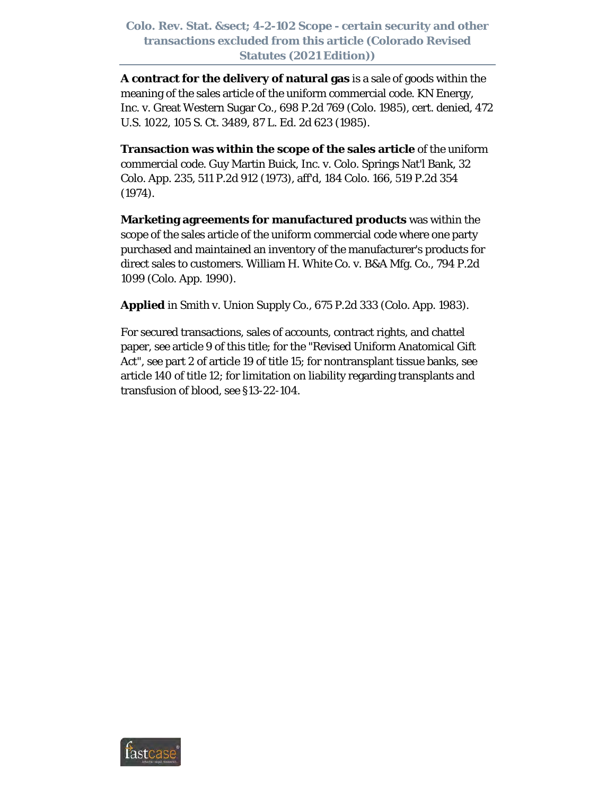**Colo. Rev. Stat. § 4-2-102 Scope - certain security and other transactions excluded from this article (Colorado Revised Statutes (2021 Edition))**

**A contract for the delivery of natural gas** is a sale of goods within the meaning of the sales article of the uniform commercial code. KN Energy, Inc. v. Great Western Sugar Co., 698 P.2d 769 (Colo. 1985), cert. denied, 472 U.S. 1022, 105 S. Ct. 3489, 87 L. Ed. 2d 623 (1985).

**Transaction was within the scope of the sales article** of the uniform commercial code. Guy Martin Buick, Inc. v. Colo. Springs Nat'l Bank, 32 Colo. App. 235, 511 P.2d 912 (1973), aff'd, 184 Colo. 166, 519 P.2d 354 (1974).

**Marketing agreements for manufactured products** was within the scope of the sales article of the uniform commercial code where one party purchased and maintained an inventory of the manufacturer's products for direct sales to customers. William H. White Co. v. B&A Mfg. Co., 794 P.2d 1099 (Colo. App. 1990).

**Applied** in Smith v. Union Supply Co., 675 P.2d 333 (Colo. App. 1983).

For secured transactions, sales of accounts, contract rights, and chattel paper, see article 9 of this title; for the "Revised Uniform Anatomical Gift Act", see part 2 of article 19 of title 15; for nontransplant tissue banks, see article 140 of title 12; for limitation on liability regarding transplants and transfusion of blood, see §13-22-104.

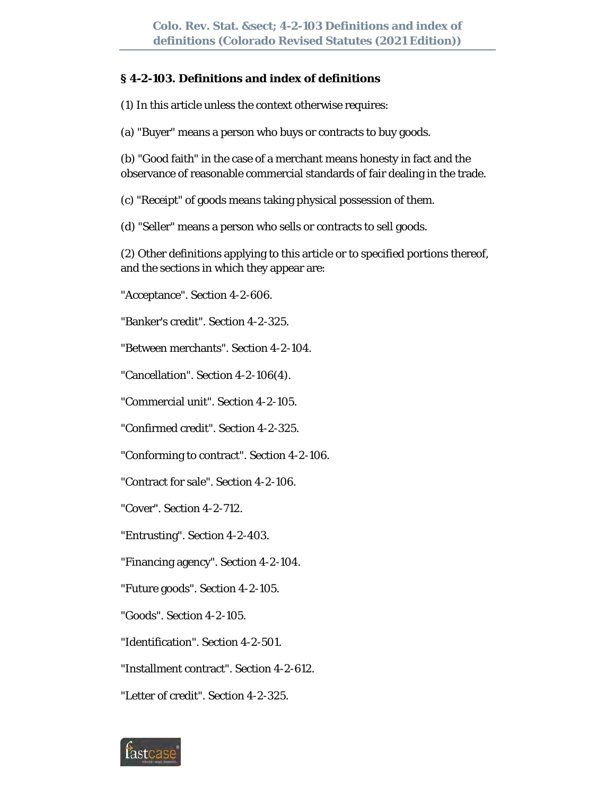### **§ 4-2-103. Definitions and index of definitions**

(1) In this article unless the context otherwise requires:

(a) "Buyer" means a person who buys or contracts to buy goods.

(b) "Good faith" in the case of a merchant means honesty in fact and the observance of reasonable commercial standards of fair dealing in the trade.

(c) "Receipt" of goods means taking physical possession of them.

(d) "Seller" means a person who sells or contracts to sell goods.

(2) Other definitions applying to this article or to specified portions thereof, and the sections in which they appear are:

"Acceptance". Section 4-2-606.

"Banker's credit". Section 4-2-325.

"Between merchants". Section 4-2-104.

"Cancellation". Section 4-2-106(4).

"Commercial unit". Section 4-2-105.

"Confirmed credit". Section 4-2-325.

"Conforming to contract". Section 4-2-106.

"Contract for sale". Section 4-2-106.

"Cover". Section 4-2-712.

"Entrusting". Section 4-2-403.

"Financing agency". Section 4-2-104.

"Future goods". Section 4-2-105.

"Goods". Section 4-2-105.

"Identification". Section 4-2-501.

"Installment contract". Section 4-2-612.

"Letter of credit". Section 4-2-325.

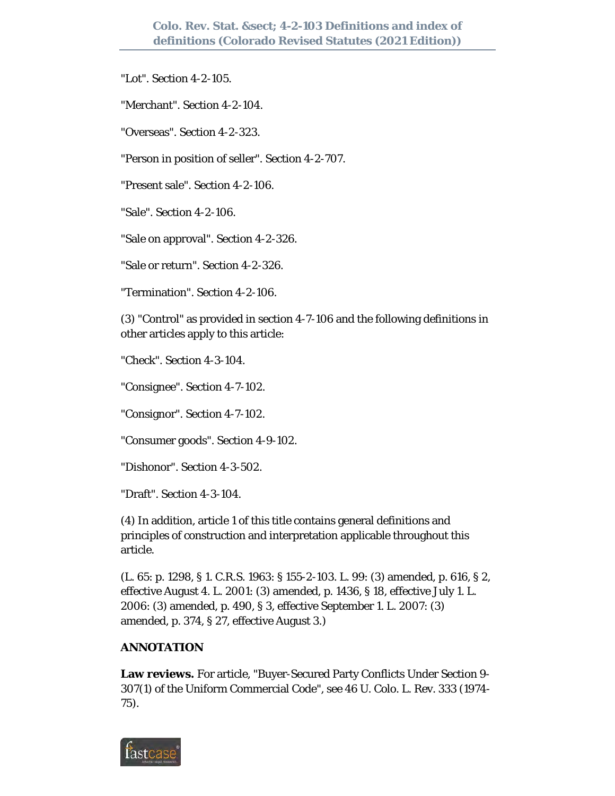"Lot". Section 4-2-105.

"Merchant". Section 4-2-104.

"Overseas". Section 4-2-323.

"Person in position of seller". Section 4-2-707.

"Present sale". Section 4-2-106.

"Sale". Section 4-2-106.

"Sale on approval". Section 4-2-326.

"Sale or return". Section 4-2-326.

"Termination". Section 4-2-106.

(3) "Control" as provided in section 4-7-106 and the following definitions in other articles apply to this article:

"Check". Section 4-3-104.

"Consignee". Section 4-7-102.

"Consignor". Section 4-7-102.

"Consumer goods". Section 4-9-102.

"Dishonor". Section 4-3-502.

"Draft". Section 4-3-104.

(4) In addition, article 1 of this title contains general definitions and principles of construction and interpretation applicable throughout this article.

(L. 65: p. 1298, § 1. C.R.S. 1963: § 155-2-103. L. 99: (3) amended, p. 616, § 2, effective August 4. L. 2001: (3) amended, p. 1436, § 18, effective July 1. L. 2006: (3) amended, p. 490, § 3, effective September 1. L. 2007: (3) amended, p. 374, § 27, effective August 3.)

## **ANNOTATION**

**Law reviews.** For article, "Buyer-Secured Party Conflicts Under Section 9- 307(1) of the Uniform Commercial Code", see 46 U. Colo. L. Rev. 333 (1974- 75).

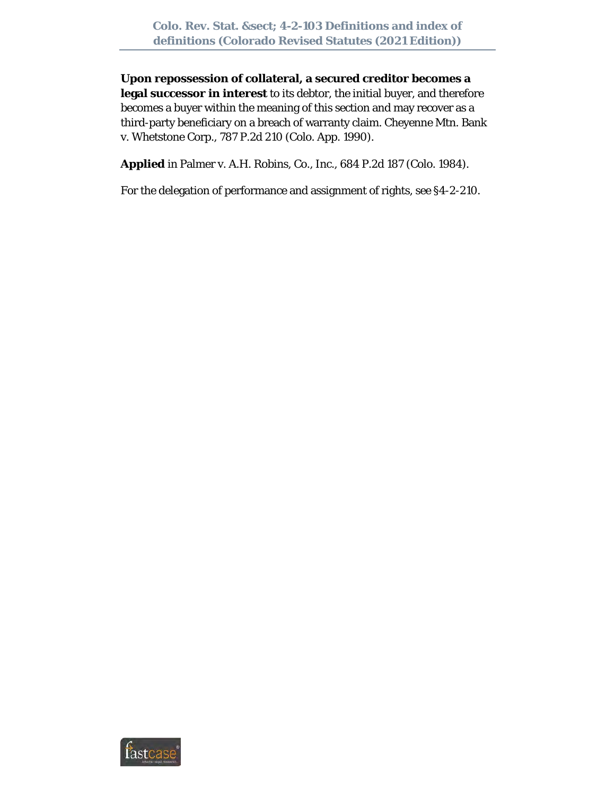**Upon repossession of collateral, a secured creditor becomes a legal successor in interest** to its debtor, the initial buyer, and therefore becomes a buyer within the meaning of this section and may recover as a third-party beneficiary on a breach of warranty claim. Cheyenne Mtn. Bank v. Whetstone Corp., 787 P.2d 210 (Colo. App. 1990).

**Applied** in Palmer v. A.H. Robins, Co., Inc., 684 P.2d 187 (Colo. 1984).

For the delegation of performance and assignment of rights, see §4-2-210.

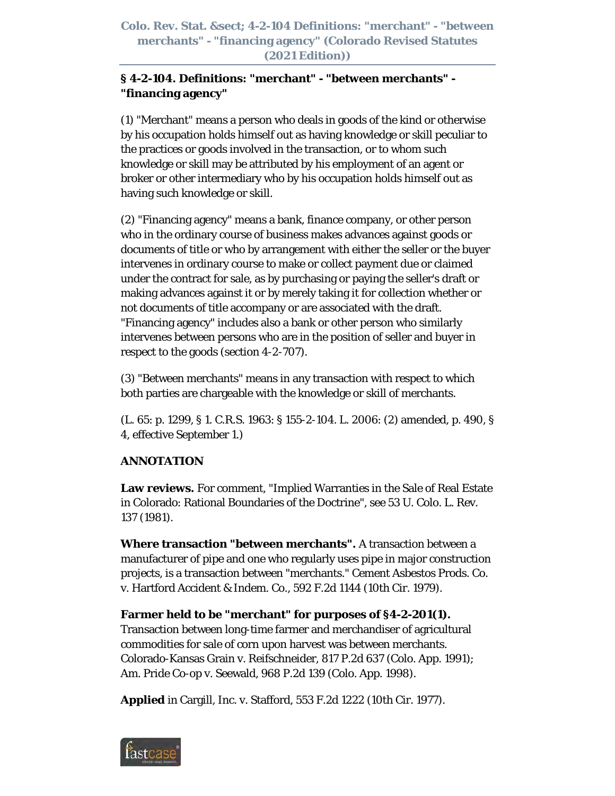**Colo. Rev. Stat. § 4-2-104 Definitions: "merchant" - "between merchants" - "financing agency" (Colorado Revised Statutes (2021 Edition))**

**§ 4-2-104. Definitions: "merchant" - "between merchants" - "financing agency"** 

(1) "Merchant" means a person who deals in goods of the kind or otherwise by his occupation holds himself out as having knowledge or skill peculiar to the practices or goods involved in the transaction, or to whom such knowledge or skill may be attributed by his employment of an agent or broker or other intermediary who by his occupation holds himself out as having such knowledge or skill.

(2) "Financing agency" means a bank, finance company, or other person who in the ordinary course of business makes advances against goods or documents of title or who by arrangement with either the seller or the buyer intervenes in ordinary course to make or collect payment due or claimed under the contract for sale, as by purchasing or paying the seller's draft or making advances against it or by merely taking it for collection whether or not documents of title accompany or are associated with the draft. "Financing agency" includes also a bank or other person who similarly intervenes between persons who are in the position of seller and buyer in respect to the goods (section 4-2-707).

(3) "Between merchants" means in any transaction with respect to which both parties are chargeable with the knowledge or skill of merchants.

(L. 65: p. 1299, § 1. C.R.S. 1963: § 155-2-104. L. 2006: (2) amended, p. 490, § 4, effective September 1.)

#### **ANNOTATION**

**Law reviews.** For comment, "Implied Warranties in the Sale of Real Estate in Colorado: Rational Boundaries of the Doctrine", see 53 U. Colo. L. Rev. 137 (1981).

**Where transaction "between merchants".** A transaction between a manufacturer of pipe and one who regularly uses pipe in major construction projects, is a transaction between "merchants." Cement Asbestos Prods. Co. v. Hartford Accident & Indem. Co., 592 F.2d 1144 (10th Cir. 1979).

**Farmer held to be "merchant" for purposes of §4-2-201(1).** Transaction between long-time farmer and merchandiser of agricultural commodities for sale of corn upon harvest was between merchants. Colorado-Kansas Grain v. Reifschneider, 817 P.2d 637 (Colo. App. 1991); Am. Pride Co-op v. Seewald, 968 P.2d 139 (Colo. App. 1998).

**Applied** in Cargill, Inc. v. Stafford, 553 F.2d 1222 (10th Cir. 1977).

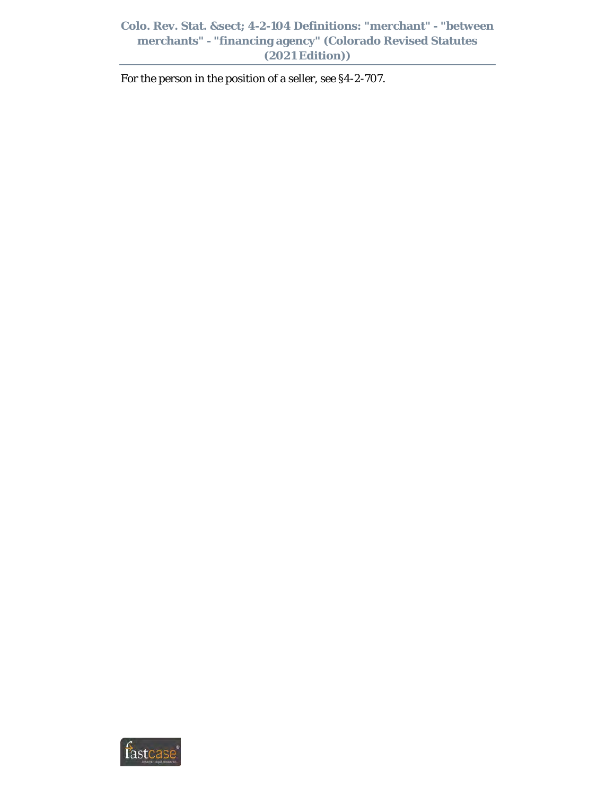## **Colo. Rev. Stat. § 4-2-104 Definitions: "merchant" - "between merchants" - "financing agency" (Colorado Revised Statutes (2021 Edition))**

For the person in the position of a seller, see §4-2-707.

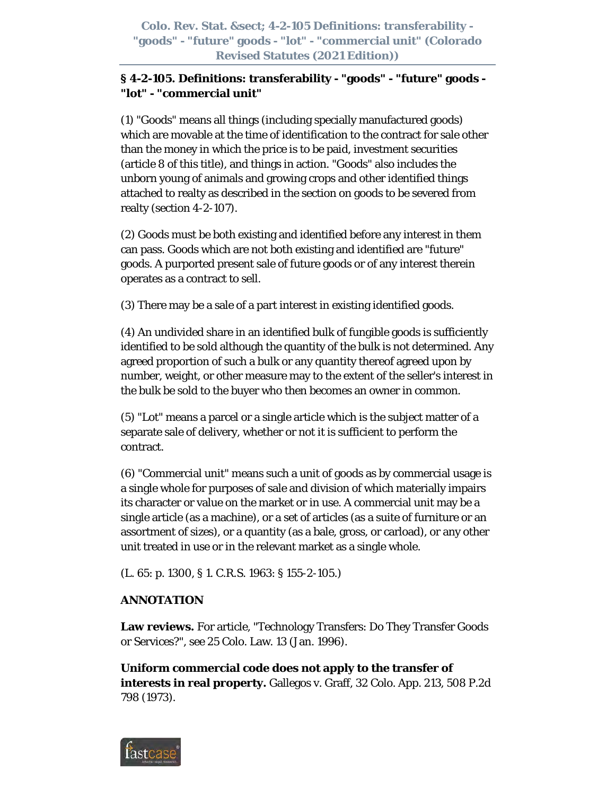**Colo. Rev. Stat. § 4-2-105 Definitions: transferability - "goods" - "future" goods - "lot" - "commercial unit" (Colorado Revised Statutes (2021 Edition))**

**§ 4-2-105. Definitions: transferability - "goods" - "future" goods - "lot" - "commercial unit"** 

(1) "Goods" means all things (including specially manufactured goods) which are movable at the time of identification to the contract for sale other than the money in which the price is to be paid, investment securities (article 8 of this title), and things in action. "Goods" also includes the unborn young of animals and growing crops and other identified things attached to realty as described in the section on goods to be severed from realty (section 4-2-107).

(2) Goods must be both existing and identified before any interest in them can pass. Goods which are not both existing and identified are "future" goods. A purported present sale of future goods or of any interest therein operates as a contract to sell.

(3) There may be a sale of a part interest in existing identified goods.

(4) An undivided share in an identified bulk of fungible goods is sufficiently identified to be sold although the quantity of the bulk is not determined. Any agreed proportion of such a bulk or any quantity thereof agreed upon by number, weight, or other measure may to the extent of the seller's interest in the bulk be sold to the buyer who then becomes an owner in common.

(5) "Lot" means a parcel or a single article which is the subject matter of a separate sale of delivery, whether or not it is sufficient to perform the contract.

(6) "Commercial unit" means such a unit of goods as by commercial usage is a single whole for purposes of sale and division of which materially impairs its character or value on the market or in use. A commercial unit may be a single article (as a machine), or a set of articles (as a suite of furniture or an assortment of sizes), or a quantity (as a bale, gross, or carload), or any other unit treated in use or in the relevant market as a single whole.

(L. 65: p. 1300, § 1. C.R.S. 1963: § 155-2-105.)

**ANNOTATION**

**Law reviews.** For article, "Technology Transfers: Do They Transfer Goods or Services?", see 25 Colo. Law. 13 (Jan. 1996).

**Uniform commercial code does not apply to the transfer of interests in real property.** Gallegos v. Graff, 32 Colo. App. 213, 508 P.2d 798 (1973).

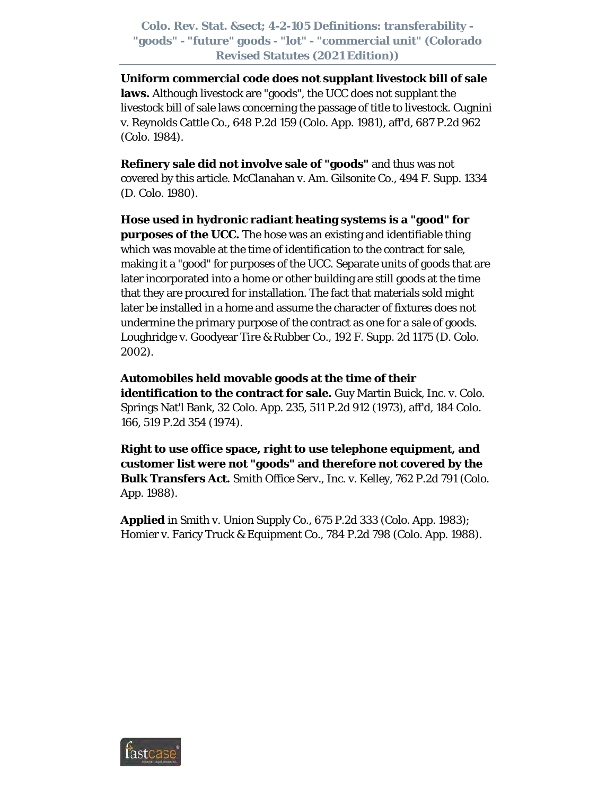**Colo. Rev. Stat. § 4-2-105 Definitions: transferability - "goods" - "future" goods - "lot" - "commercial unit" (Colorado Revised Statutes (2021 Edition))**

**Uniform commercial code does not supplant livestock bill of sale laws.** Although livestock are "goods", the UCC does not supplant the livestock bill of sale laws concerning the passage of title to livestock. Cugnini v. Reynolds Cattle Co., 648 P.2d 159 (Colo. App. 1981), aff'd, 687 P.2d 962 (Colo. 1984).

**Refinery sale did not involve sale of "goods"** and thus was not covered by this article. McClanahan v. Am. Gilsonite Co., 494 F. Supp. 1334 (D. Colo. 1980).

**Hose used in hydronic radiant heating systems is a "good" for purposes of the UCC.** The hose was an existing and identifiable thing which was movable at the time of identification to the contract for sale, making it a "good" for purposes of the UCC. Separate units of goods that are later incorporated into a home or other building are still goods at the time that they are procured for installation. The fact that materials sold might later be installed in a home and assume the character of fixtures does not undermine the primary purpose of the contract as one for a sale of goods. Loughridge v. Goodyear Tire & Rubber Co., 192 F. Supp. 2d 1175 (D. Colo. 2002).

**Automobiles held movable goods at the time of their identification to the contract for sale.** Guy Martin Buick, Inc. v. Colo. Springs Nat'l Bank, 32 Colo. App. 235, 511 P.2d 912 (1973), aff'd, 184 Colo. 166, 519 P.2d 354 (1974).

**Right to use office space, right to use telephone equipment, and customer list were not "goods" and therefore not covered by the Bulk Transfers Act.** Smith Office Serv., Inc. v. Kelley, 762 P.2d 791 (Colo. App. 1988).

**Applied** in Smith v. Union Supply Co., 675 P.2d 333 (Colo. App. 1983); Homier v. Faricy Truck & Equipment Co., 784 P.2d 798 (Colo. App. 1988).

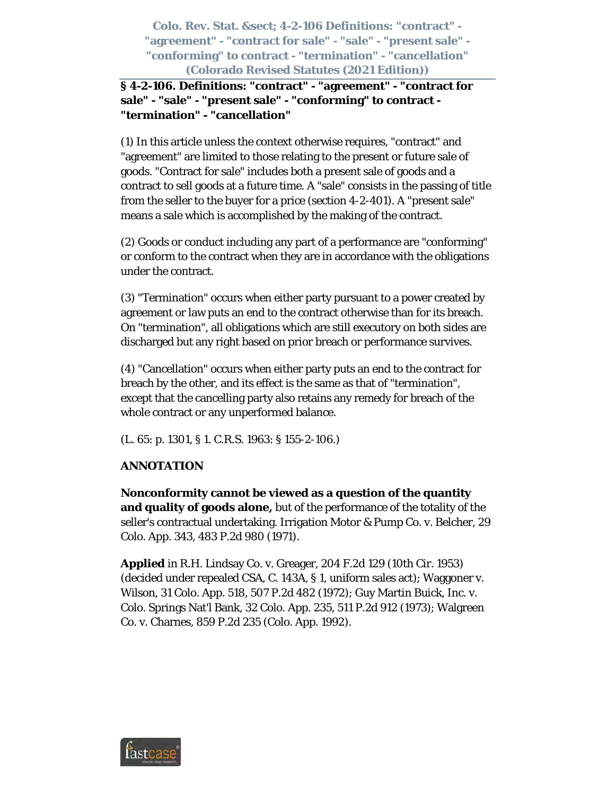**Colo. Rev. Stat. § 4-2-106 Definitions: "contract" - "agreement" - "contract for sale" - "sale" - "present sale" - "conforming" to contract - "termination" - "cancellation" (Colorado Revised Statutes (2021 Edition))**

**§ 4-2-106. Definitions: "contract" - "agreement" - "contract for sale" - "sale" - "present sale" - "conforming" to contract - "termination" - "cancellation"** 

(1) In this article unless the context otherwise requires, "contract" and "agreement" are limited to those relating to the present or future sale of goods. "Contract for sale" includes both a present sale of goods and a contract to sell goods at a future time. A "sale" consists in the passing of title from the seller to the buyer for a price (section 4-2-401). A "present sale" means a sale which is accomplished by the making of the contract.

(2) Goods or conduct including any part of a performance are "conforming" or conform to the contract when they are in accordance with the obligations under the contract.

(3) "Termination" occurs when either party pursuant to a power created by agreement or law puts an end to the contract otherwise than for its breach. On "termination", all obligations which are still executory on both sides are discharged but any right based on prior breach or performance survives.

(4) "Cancellation" occurs when either party puts an end to the contract for breach by the other, and its effect is the same as that of "termination", except that the cancelling party also retains any remedy for breach of the whole contract or any unperformed balance.

(L. 65: p. 1301, § 1. C.R.S. 1963: § 155-2-106.)

**ANNOTATION**

**Nonconformity cannot be viewed as a question of the quantity and quality of goods alone,** but of the performance of the totality of the seller's contractual undertaking. Irrigation Motor & Pump Co. v. Belcher, 29 Colo. App. 343, 483 P.2d 980 (1971).

**Applied** in R.H. Lindsay Co. v. Greager, 204 F.2d 129 (10th Cir. 1953) (decided under repealed CSA, C. 143A, § 1, uniform sales act); Waggoner v. Wilson, 31 Colo. App. 518, 507 P.2d 482 (1972); Guy Martin Buick, Inc. v. Colo. Springs Nat'l Bank, 32 Colo. App. 235, 511 P.2d 912 (1973); Walgreen Co. v. Charnes, 859 P.2d 235 (Colo. App. 1992).

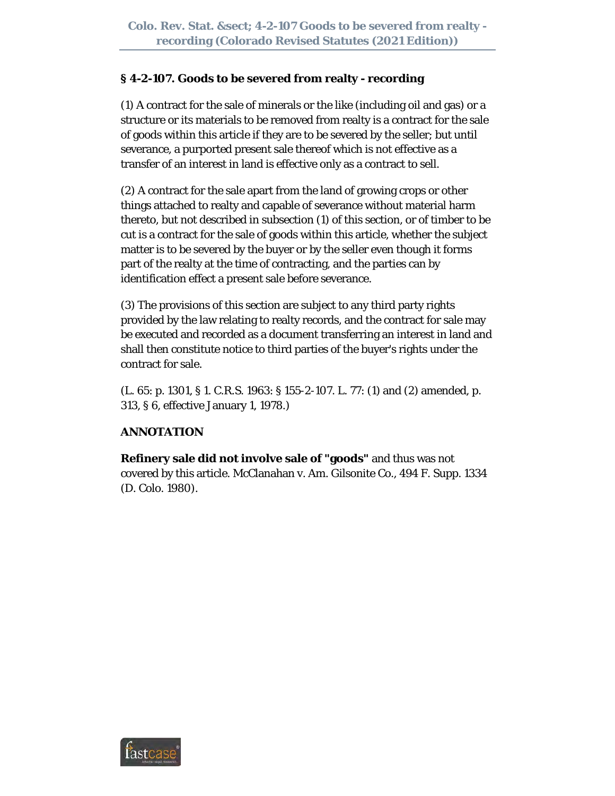## **§ 4-2-107. Goods to be severed from realty - recording**

(1) A contract for the sale of minerals or the like (including oil and gas) or a structure or its materials to be removed from realty is a contract for the sale of goods within this article if they are to be severed by the seller; but until severance, a purported present sale thereof which is not effective as a transfer of an interest in land is effective only as a contract to sell.

(2) A contract for the sale apart from the land of growing crops or other things attached to realty and capable of severance without material harm thereto, but not described in subsection (1) of this section, or of timber to be cut is a contract for the sale of goods within this article, whether the subject matter is to be severed by the buyer or by the seller even though it forms part of the realty at the time of contracting, and the parties can by identification effect a present sale before severance.

(3) The provisions of this section are subject to any third party rights provided by the law relating to realty records, and the contract for sale may be executed and recorded as a document transferring an interest in land and shall then constitute notice to third parties of the buyer's rights under the contract for sale.

(L. 65: p. 1301, § 1. C.R.S. 1963: § 155-2-107. L. 77: (1) and (2) amended, p. 313, § 6, effective January 1, 1978.)

#### **ANNOTATION**

**Refinery sale did not involve sale of "goods"** and thus was not covered by this article. McClanahan v. Am. Gilsonite Co., 494 F. Supp. 1334 (D. Colo. 1980).

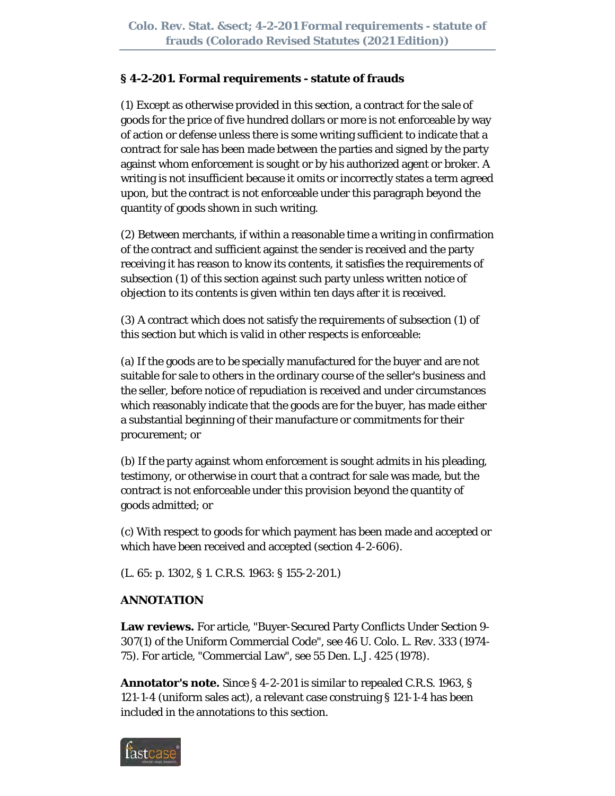#### **§ 4-2-201. Formal requirements - statute of frauds**

(1) Except as otherwise provided in this section, a contract for the sale of goods for the price of five hundred dollars or more is not enforceable by way of action or defense unless there is some writing sufficient to indicate that a contract for sale has been made between the parties and signed by the party against whom enforcement is sought or by his authorized agent or broker. A writing is not insufficient because it omits or incorrectly states a term agreed upon, but the contract is not enforceable under this paragraph beyond the quantity of goods shown in such writing.

(2) Between merchants, if within a reasonable time a writing in confirmation of the contract and sufficient against the sender is received and the party receiving it has reason to know its contents, it satisfies the requirements of subsection (1) of this section against such party unless written notice of objection to its contents is given within ten days after it is received.

(3) A contract which does not satisfy the requirements of subsection (1) of this section but which is valid in other respects is enforceable:

(a) If the goods are to be specially manufactured for the buyer and are not suitable for sale to others in the ordinary course of the seller's business and the seller, before notice of repudiation is received and under circumstances which reasonably indicate that the goods are for the buyer, has made either a substantial beginning of their manufacture or commitments for their procurement; or

(b) If the party against whom enforcement is sought admits in his pleading, testimony, or otherwise in court that a contract for sale was made, but the contract is not enforceable under this provision beyond the quantity of goods admitted; or

(c) With respect to goods for which payment has been made and accepted or which have been received and accepted (section 4-2-606).

(L. 65: p. 1302, § 1. C.R.S. 1963: § 155-2-201.)

#### **ANNOTATION**

**Law reviews.** For article, "Buyer-Secured Party Conflicts Under Section 9- 307(1) of the Uniform Commercial Code", see 46 U. Colo. L. Rev. 333 (1974- 75). For article, "Commercial Law", see 55 Den. L.J. 425 (1978).

**Annotator's note.** Since § 4-2-201 is similar to repealed C.R.S. 1963, § 121-1-4 (uniform sales act), a relevant case construing § 121-1-4 has been included in the annotations to this section.

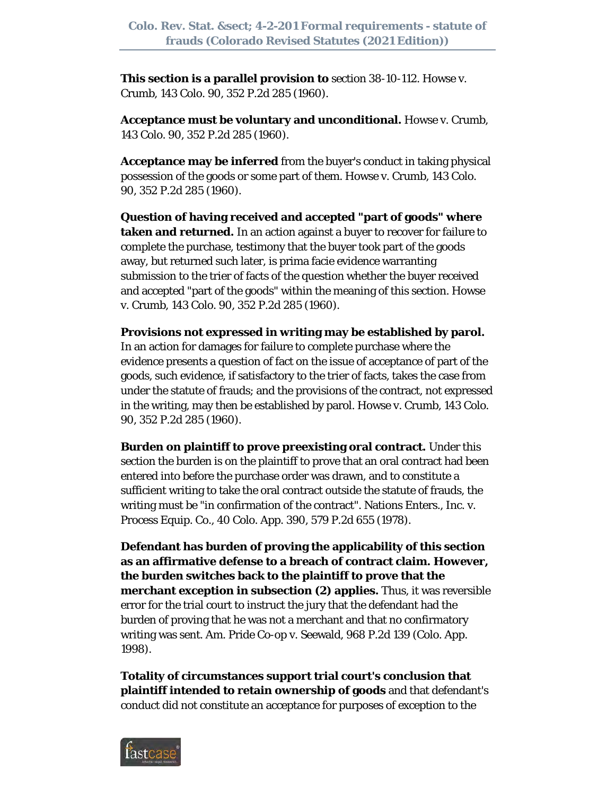**This section is a parallel provision to** section 38-10-112. Howse v. Crumb, 143 Colo. 90, 352 P.2d 285 (1960).

**Acceptance must be voluntary and unconditional.** Howse v. Crumb, 143 Colo. 90, 352 P.2d 285 (1960).

**Acceptance may be inferred** from the buyer's conduct in taking physical possession of the goods or some part of them. Howse v. Crumb, 143 Colo. 90, 352 P.2d 285 (1960).

**Question of having received and accepted "part of goods" where taken and returned.** In an action against a buyer to recover for failure to complete the purchase, testimony that the buyer took part of the goods away, but returned such later, is prima facie evidence warranting submission to the trier of facts of the question whether the buyer received and accepted "part of the goods" within the meaning of this section. Howse v. Crumb, 143 Colo. 90, 352 P.2d 285 (1960).

**Provisions not expressed in writing may be established by parol.** In an action for damages for failure to complete purchase where the evidence presents a question of fact on the issue of acceptance of part of the goods, such evidence, if satisfactory to the trier of facts, takes the case from under the statute of frauds; and the provisions of the contract, not expressed in the writing, may then be established by parol. Howse v. Crumb, 143 Colo. 90, 352 P.2d 285 (1960).

**Burden on plaintiff to prove preexisting oral contract.** Under this section the burden is on the plaintiff to prove that an oral contract had been entered into before the purchase order was drawn, and to constitute a sufficient writing to take the oral contract outside the statute of frauds, the writing must be "in confirmation of the contract". Nations Enters., Inc. v. Process Equip. Co., 40 Colo. App. 390, 579 P.2d 655 (1978).

**Defendant has burden of proving the applicability of this section as an affirmative defense to a breach of contract claim. However, the burden switches back to the plaintiff to prove that the merchant exception in subsection (2) applies.** Thus, it was reversible error for the trial court to instruct the jury that the defendant had the burden of proving that he was not a merchant and that no confirmatory writing was sent. Am. Pride Co-op v. Seewald, 968 P.2d 139 (Colo. App. 1998).

**Totality of circumstances support trial court's conclusion that plaintiff intended to retain ownership of goods** and that defendant's conduct did not constitute an acceptance for purposes of exception to the

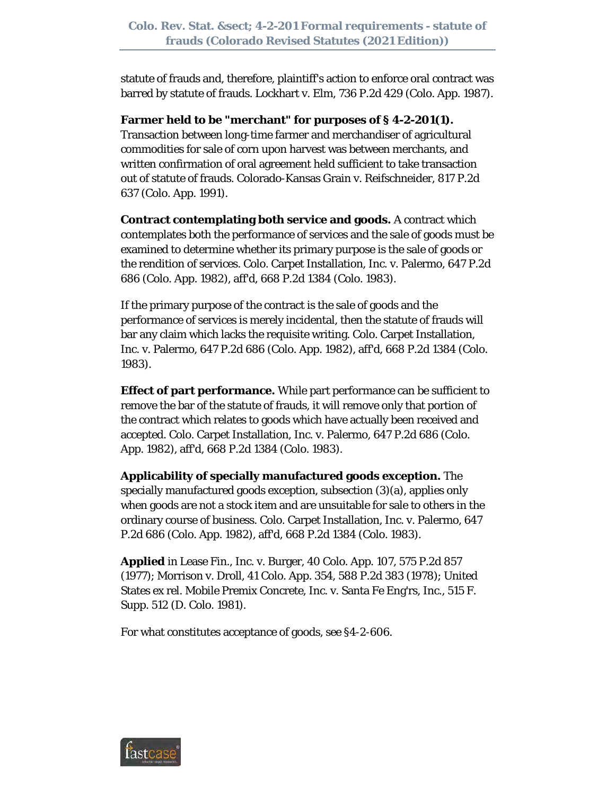statute of frauds and, therefore, plaintiff's action to enforce oral contract was barred by statute of frauds. Lockhart v. Elm, 736 P.2d 429 (Colo. App. 1987).

**Farmer held to be "merchant" for purposes of § 4-2-201(1).** Transaction between long-time farmer and merchandiser of agricultural commodities for sale of corn upon harvest was between merchants, and written confirmation of oral agreement held sufficient to take transaction out of statute of frauds. Colorado-Kansas Grain v. Reifschneider, 817 P.2d 637 (Colo. App. 1991).

**Contract contemplating both service and goods.** A contract which contemplates both the performance of services and the sale of goods must be examined to determine whether its primary purpose is the sale of goods or the rendition of services. Colo. Carpet Installation, Inc. v. Palermo, 647 P.2d 686 (Colo. App. 1982), aff'd, 668 P.2d 1384 (Colo. 1983).

If the primary purpose of the contract is the sale of goods and the performance of services is merely incidental, then the statute of frauds will bar any claim which lacks the requisite writing. Colo. Carpet Installation, Inc. v. Palermo, 647 P.2d 686 (Colo. App. 1982), aff'd, 668 P.2d 1384 (Colo. 1983).

**Effect of part performance.** While part performance can be sufficient to remove the bar of the statute of frauds, it will remove only that portion of the contract which relates to goods which have actually been received and accepted. Colo. Carpet Installation, Inc. v. Palermo, 647 P.2d 686 (Colo. App. 1982), aff'd, 668 P.2d 1384 (Colo. 1983).

**Applicability of specially manufactured goods exception.** The specially manufactured goods exception, subsection (3)(a), applies only when goods are not a stock item and are unsuitable for sale to others in the ordinary course of business. Colo. Carpet Installation, Inc. v. Palermo, 647 P.2d 686 (Colo. App. 1982), aff'd, 668 P.2d 1384 (Colo. 1983).

**Applied** in Lease Fin., Inc. v. Burger, 40 Colo. App. 107, 575 P.2d 857 (1977); Morrison v. Droll, 41 Colo. App. 354, 588 P.2d 383 (1978); United States ex rel. Mobile Premix Concrete, Inc. v. Santa Fe Eng'rs, Inc., 515 F. Supp. 512 (D. Colo. 1981).

For what constitutes acceptance of goods, see §4-2-606.

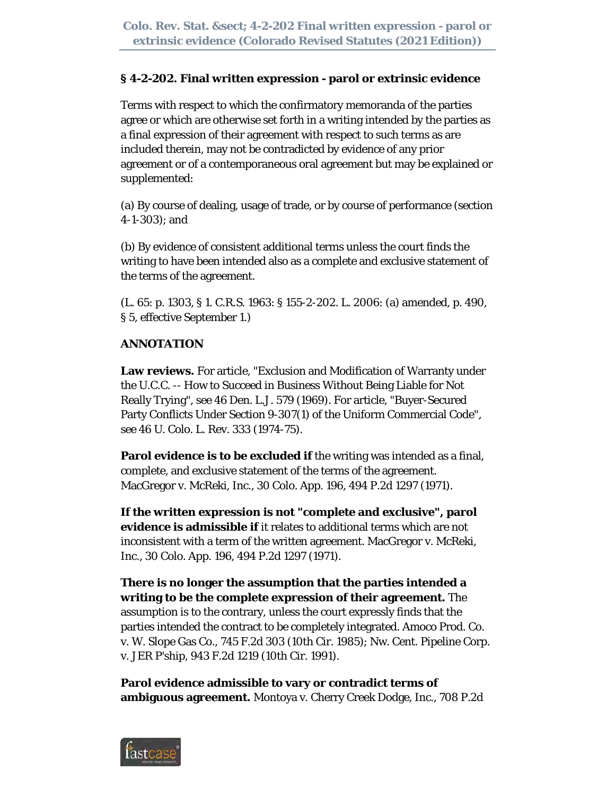**§ 4-2-202. Final written expression - parol or extrinsic evidence** 

Terms with respect to which the confirmatory memoranda of the parties agree or which are otherwise set forth in a writing intended by the parties as a final expression of their agreement with respect to such terms as are included therein, may not be contradicted by evidence of any prior agreement or of a contemporaneous oral agreement but may be explained or supplemented:

(a) By course of dealing, usage of trade, or by course of performance (section 4-1-303); and

(b) By evidence of consistent additional terms unless the court finds the writing to have been intended also as a complete and exclusive statement of the terms of the agreement.

(L. 65: p. 1303, § 1. C.R.S. 1963: § 155-2-202. L. 2006: (a) amended, p. 490, § 5, effective September 1.)

## **ANNOTATION**

**Law reviews.** For article, "Exclusion and Modification of Warranty under the U.C.C. -- How to Succeed in Business Without Being Liable for Not Really Trying", see 46 Den. L.J. 579 (1969). For article, "Buyer-Secured Party Conflicts Under Section 9-307(1) of the Uniform Commercial Code", see 46 U. Colo. L. Rev. 333 (1974-75).

**Parol evidence is to be excluded if** the writing was intended as a final, complete, and exclusive statement of the terms of the agreement. MacGregor v. McReki, Inc., 30 Colo. App. 196, 494 P.2d 1297 (1971).

**If the written expression is not "complete and exclusive", parol evidence is admissible if** it relates to additional terms which are not inconsistent with a term of the written agreement. MacGregor v. McReki, Inc., 30 Colo. App. 196, 494 P.2d 1297 (1971).

**There is no longer the assumption that the parties intended a writing to be the complete expression of their agreement.** The assumption is to the contrary, unless the court expressly finds that the parties intended the contract to be completely integrated. Amoco Prod. Co. v. W. Slope Gas Co., 745 F.2d 303 (10th Cir. 1985); Nw. Cent. Pipeline Corp. v. JER P'ship, 943 F.2d 1219 (10th Cir. 1991).

**Parol evidence admissible to vary or contradict terms of ambiguous agreement.** Montoya v. Cherry Creek Dodge, Inc., 708 P.2d

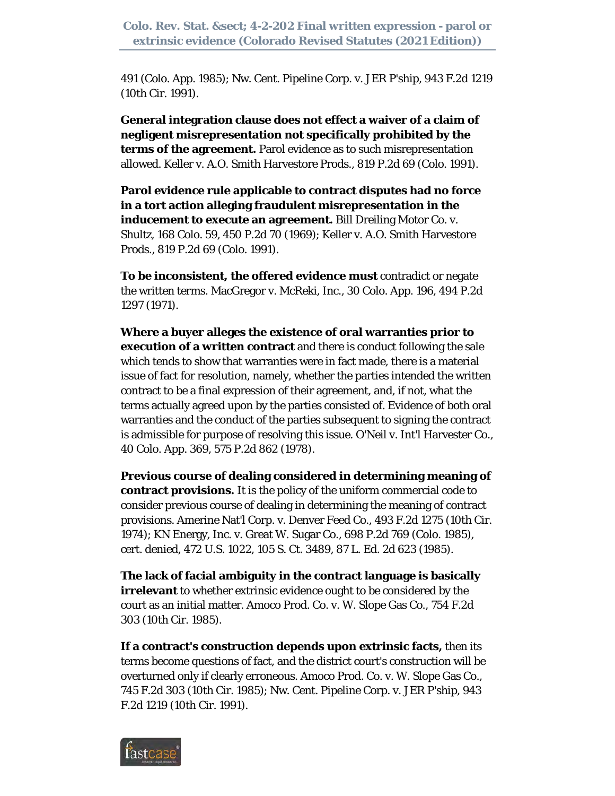491 (Colo. App. 1985); Nw. Cent. Pipeline Corp. v. JER P'ship, 943 F.2d 1219 (10th Cir. 1991).

**General integration clause does not effect a waiver of a claim of negligent misrepresentation not specifically prohibited by the terms of the agreement.** Parol evidence as to such misrepresentation allowed. Keller v. A.O. Smith Harvestore Prods., 819 P.2d 69 (Colo. 1991).

**Parol evidence rule applicable to contract disputes had no force in a tort action alleging fraudulent misrepresentation in the inducement to execute an agreement.** Bill Dreiling Motor Co. v. Shultz, 168 Colo. 59, 450 P.2d 70 (1969); Keller v. A.O. Smith Harvestore Prods., 819 P.2d 69 (Colo. 1991).

**To be inconsistent, the offered evidence must** contradict or negate the written terms. MacGregor v. McReki, Inc., 30 Colo. App. 196, 494 P.2d 1297 (1971).

**Where a buyer alleges the existence of oral warranties prior to execution of a written contract** and there is conduct following the sale which tends to show that warranties were in fact made, there is a material issue of fact for resolution, namely, whether the parties intended the written contract to be a final expression of their agreement, and, if not, what the terms actually agreed upon by the parties consisted of. Evidence of both oral warranties and the conduct of the parties subsequent to signing the contract is admissible for purpose of resolving this issue. O'Neil v. Int'l Harvester Co., 40 Colo. App. 369, 575 P.2d 862 (1978).

**Previous course of dealing considered in determining meaning of contract provisions.** It is the policy of the uniform commercial code to consider previous course of dealing in determining the meaning of contract provisions. Amerine Nat'l Corp. v. Denver Feed Co., 493 F.2d 1275 (10th Cir. 1974); KN Energy, Inc. v. Great W. Sugar Co., 698 P.2d 769 (Colo. 1985), cert. denied, 472 U.S. 1022, 105 S. Ct. 3489, 87 L. Ed. 2d 623 (1985).

**The lack of facial ambiguity in the contract language is basically irrelevant** to whether extrinsic evidence ought to be considered by the court as an initial matter. Amoco Prod. Co. v. W. Slope Gas Co., 754 F.2d 303 (10th Cir. 1985).

**If a contract's construction depends upon extrinsic facts,** then its terms become questions of fact, and the district court's construction will be overturned only if clearly erroneous. Amoco Prod. Co. v. W. Slope Gas Co., 745 F.2d 303 (10th Cir. 1985); Nw. Cent. Pipeline Corp. v. JER P'ship, 943 F.2d 1219 (10th Cir. 1991).

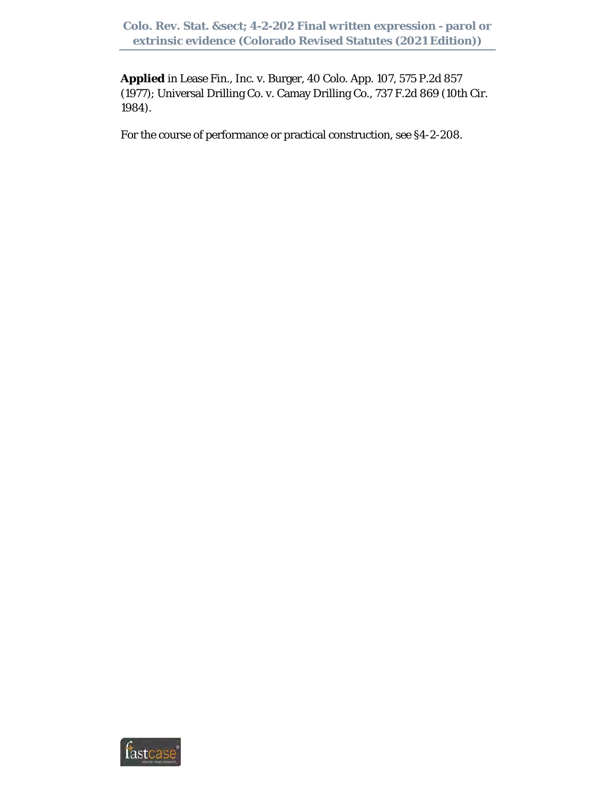**Applied** in Lease Fin., Inc. v. Burger, 40 Colo. App. 107, 575 P.2d 857 (1977); Universal Drilling Co. v. Camay Drilling Co., 737 F.2d 869 (10th Cir. 1984).

For the course of performance or practical construction, see §4-2-208.

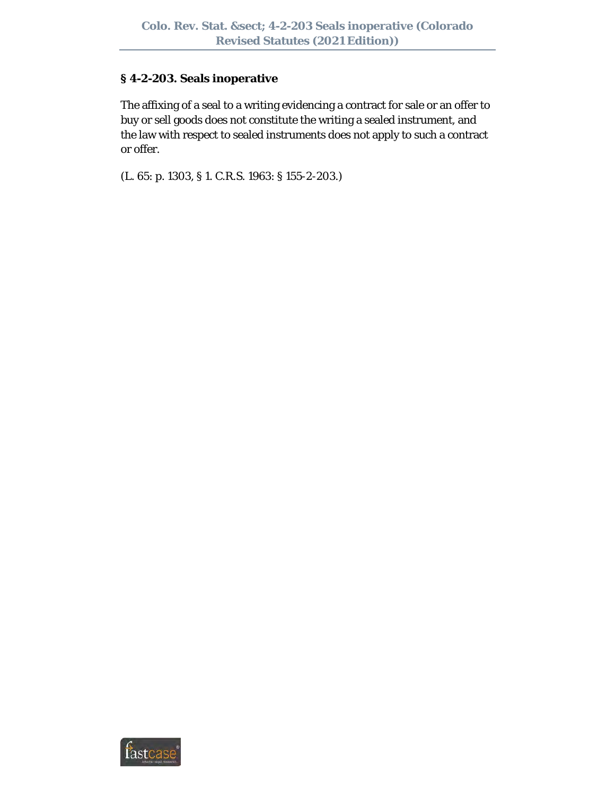#### **§ 4-2-203. Seals inoperative**

The affixing of a seal to a writing evidencing a contract for sale or an offer to buy or sell goods does not constitute the writing a sealed instrument, and the law with respect to sealed instruments does not apply to such a contract or offer.

(L. 65: p. 1303, § 1. C.R.S. 1963: § 155-2-203.)

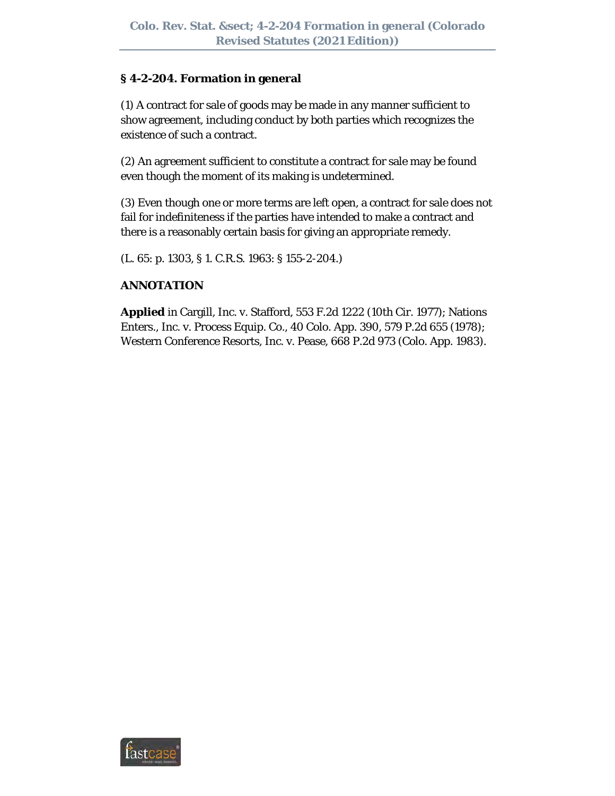## **§ 4-2-204. Formation in general**

(1) A contract for sale of goods may be made in any manner sufficient to show agreement, including conduct by both parties which recognizes the existence of such a contract.

(2) An agreement sufficient to constitute a contract for sale may be found even though the moment of its making is undetermined.

(3) Even though one or more terms are left open, a contract for sale does not fail for indefiniteness if the parties have intended to make a contract and there is a reasonably certain basis for giving an appropriate remedy.

(L. 65: p. 1303, § 1. C.R.S. 1963: § 155-2-204.)

#### **ANNOTATION**

**Applied** in Cargill, Inc. v. Stafford, 553 F.2d 1222 (10th Cir. 1977); Nations Enters., Inc. v. Process Equip. Co., 40 Colo. App. 390, 579 P.2d 655 (1978); Western Conference Resorts, Inc. v. Pease, 668 P.2d 973 (Colo. App. 1983).

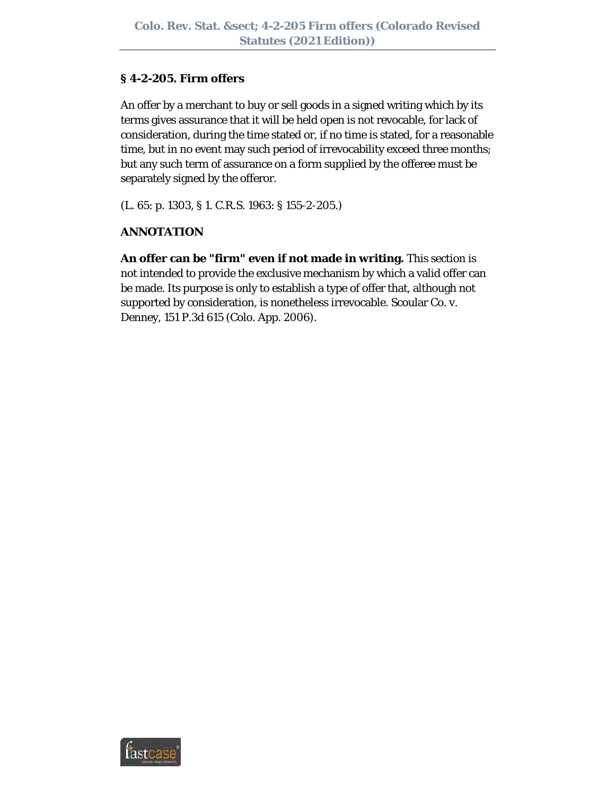### **§ 4-2-205. Firm offers**

An offer by a merchant to buy or sell goods in a signed writing which by its terms gives assurance that it will be held open is not revocable, for lack of consideration, during the time stated or, if no time is stated, for a reasonable time, but in no event may such period of irrevocability exceed three months; but any such term of assurance on a form supplied by the offeree must be separately signed by the offeror.

(L. 65: p. 1303, § 1. C.R.S. 1963: § 155-2-205.)

#### **ANNOTATION**

**An offer can be "firm" even if not made in writing.** This section is not intended to provide the exclusive mechanism by which a valid offer can be made. Its purpose is only to establish a type of offer that, although not supported by consideration, is nonetheless irrevocable. Scoular Co. v. Denney, 151 P.3d 615 (Colo. App. 2006).

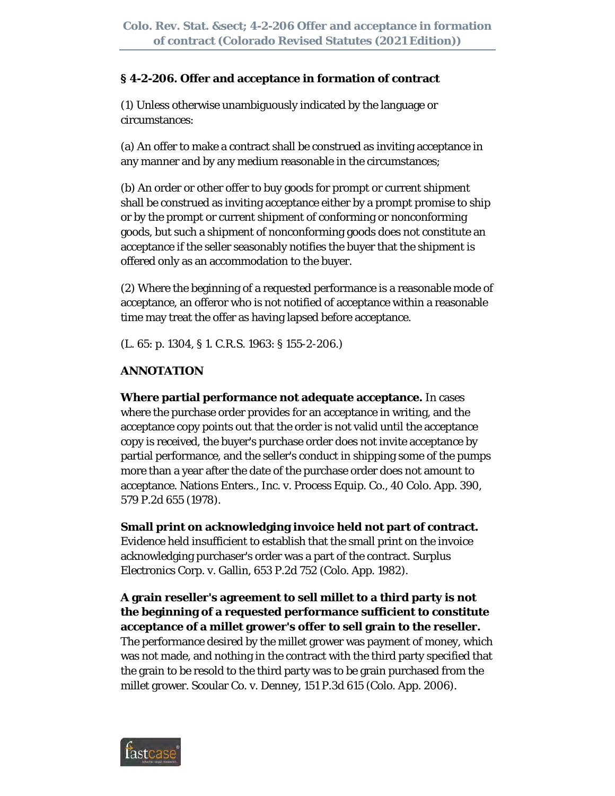## **§ 4-2-206. Offer and acceptance in formation of contract**

(1) Unless otherwise unambiguously indicated by the language or circumstances:

(a) An offer to make a contract shall be construed as inviting acceptance in any manner and by any medium reasonable in the circumstances;

(b) An order or other offer to buy goods for prompt or current shipment shall be construed as inviting acceptance either by a prompt promise to ship or by the prompt or current shipment of conforming or nonconforming goods, but such a shipment of nonconforming goods does not constitute an acceptance if the seller seasonably notifies the buyer that the shipment is offered only as an accommodation to the buyer.

(2) Where the beginning of a requested performance is a reasonable mode of acceptance, an offeror who is not notified of acceptance within a reasonable time may treat the offer as having lapsed before acceptance.

(L. 65: p. 1304, § 1. C.R.S. 1963: § 155-2-206.)

## **ANNOTATION**

**Where partial performance not adequate acceptance.** In cases where the purchase order provides for an acceptance in writing, and the acceptance copy points out that the order is not valid until the acceptance copy is received, the buyer's purchase order does not invite acceptance by partial performance, and the seller's conduct in shipping some of the pumps more than a year after the date of the purchase order does not amount to acceptance. Nations Enters., Inc. v. Process Equip. Co., 40 Colo. App. 390, 579 P.2d 655 (1978).

**Small print on acknowledging invoice held not part of contract.** Evidence held insufficient to establish that the small print on the invoice acknowledging purchaser's order was a part of the contract. Surplus Electronics Corp. v. Gallin, 653 P.2d 752 (Colo. App. 1982).

**A grain reseller's agreement to sell millet to a third party is not the beginning of a requested performance sufficient to constitute acceptance of a millet grower's offer to sell grain to the reseller.** The performance desired by the millet grower was payment of money, which was not made, and nothing in the contract with the third party specified that the grain to be resold to the third party was to be grain purchased from the millet grower. Scoular Co. v. Denney, 151 P.3d 615 (Colo. App. 2006).

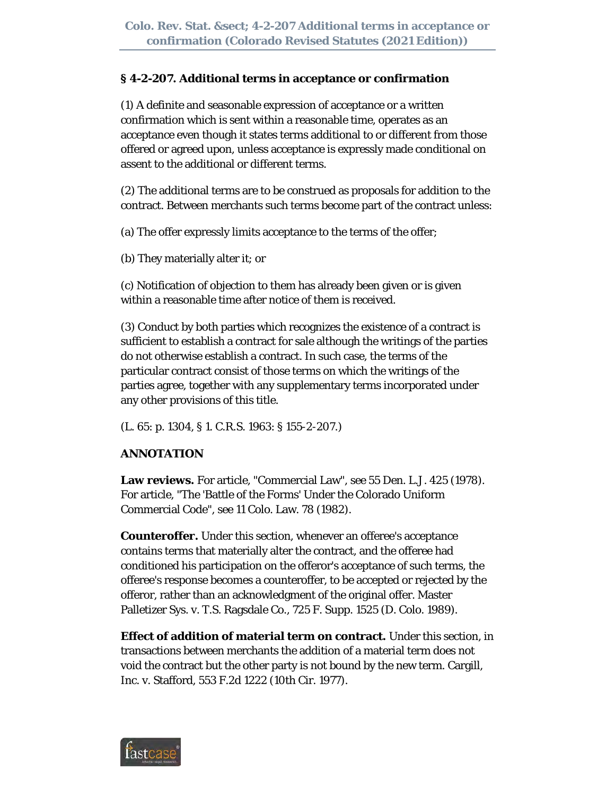### **§ 4-2-207. Additional terms in acceptance or confirmation**

(1) A definite and seasonable expression of acceptance or a written confirmation which is sent within a reasonable time, operates as an acceptance even though it states terms additional to or different from those offered or agreed upon, unless acceptance is expressly made conditional on assent to the additional or different terms.

(2) The additional terms are to be construed as proposals for addition to the contract. Between merchants such terms become part of the contract unless:

(a) The offer expressly limits acceptance to the terms of the offer;

(b) They materially alter it; or

(c) Notification of objection to them has already been given or is given within a reasonable time after notice of them is received.

(3) Conduct by both parties which recognizes the existence of a contract is sufficient to establish a contract for sale although the writings of the parties do not otherwise establish a contract. In such case, the terms of the particular contract consist of those terms on which the writings of the parties agree, together with any supplementary terms incorporated under any other provisions of this title.

(L. 65: p. 1304, § 1. C.R.S. 1963: § 155-2-207.)

## **ANNOTATION**

**Law reviews.** For article, "Commercial Law", see 55 Den. L.J. 425 (1978). For article, "The 'Battle of the Forms' Under the Colorado Uniform Commercial Code", see 11 Colo. Law. 78 (1982).

**Counteroffer.** Under this section, whenever an offeree's acceptance contains terms that materially alter the contract, and the offeree had conditioned his participation on the offeror's acceptance of such terms, the offeree's response becomes a counteroffer, to be accepted or rejected by the offeror, rather than an acknowledgment of the original offer. Master Palletizer Sys. v. T.S. Ragsdale Co., 725 F. Supp. 1525 (D. Colo. 1989).

**Effect of addition of material term on contract.** Under this section, in transactions between merchants the addition of a material term does not void the contract but the other party is not bound by the new term. Cargill, Inc. v. Stafford, 553 F.2d 1222 (10th Cir. 1977).

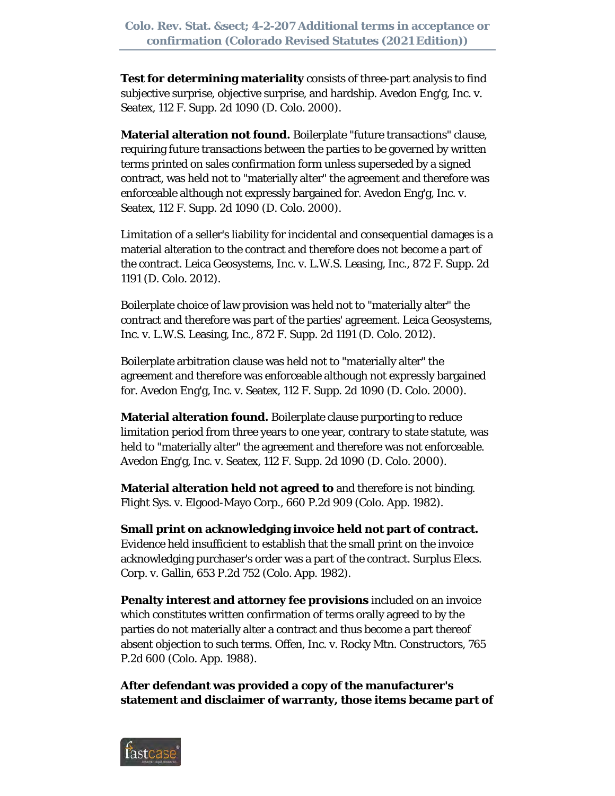**Test for determining materiality** consists of three-part analysis to find subjective surprise, objective surprise, and hardship. Avedon Eng'g, Inc. v. Seatex, 112 F. Supp. 2d 1090 (D. Colo. 2000).

**Material alteration not found.** Boilerplate "future transactions" clause, requiring future transactions between the parties to be governed by written terms printed on sales confirmation form unless superseded by a signed contract, was held not to "materially alter" the agreement and therefore was enforceable although not expressly bargained for. Avedon Eng'g, Inc. v. Seatex, 112 F. Supp. 2d 1090 (D. Colo. 2000).

Limitation of a seller's liability for incidental and consequential damages is a material alteration to the contract and therefore does not become a part of the contract. Leica Geosystems, Inc. v. L.W.S. Leasing, Inc., 872 F. Supp. 2d 1191 (D. Colo. 2012).

Boilerplate choice of law provision was held not to "materially alter" the contract and therefore was part of the parties' agreement. Leica Geosystems, Inc. v. L.W.S. Leasing, Inc., 872 F. Supp. 2d 1191 (D. Colo. 2012).

Boilerplate arbitration clause was held not to "materially alter" the agreement and therefore was enforceable although not expressly bargained for. Avedon Eng'g, Inc. v. Seatex, 112 F. Supp. 2d 1090 (D. Colo. 2000).

**Material alteration found.** Boilerplate clause purporting to reduce limitation period from three years to one year, contrary to state statute, was held to "materially alter" the agreement and therefore was not enforceable. Avedon Eng'g, Inc. v. Seatex, 112 F. Supp. 2d 1090 (D. Colo. 2000).

**Material alteration held not agreed to** and therefore is not binding. Flight Sys. v. Elgood-Mayo Corp., 660 P.2d 909 (Colo. App. 1982).

**Small print on acknowledging invoice held not part of contract.** Evidence held insufficient to establish that the small print on the invoice acknowledging purchaser's order was a part of the contract. Surplus Elecs. Corp. v. Gallin, 653 P.2d 752 (Colo. App. 1982).

**Penalty interest and attorney fee provisions** included on an invoice which constitutes written confirmation of terms orally agreed to by the parties do not materially alter a contract and thus become a part thereof absent objection to such terms. Offen, Inc. v. Rocky Mtn. Constructors, 765 P.2d 600 (Colo. App. 1988).

**After defendant was provided a copy of the manufacturer's statement and disclaimer of warranty, those items became part of** 

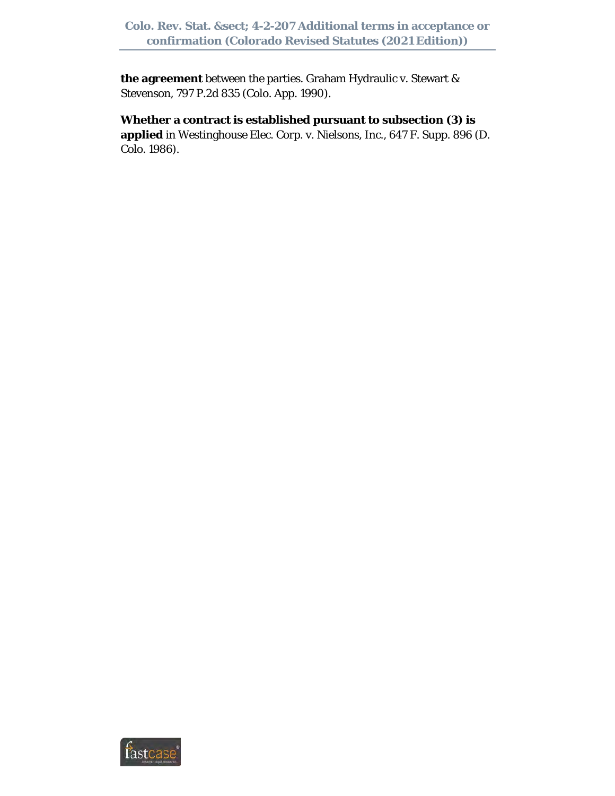**the agreement** between the parties. Graham Hydraulic v. Stewart & Stevenson, 797 P.2d 835 (Colo. App. 1990).

**Whether a contract is established pursuant to subsection (3) is applied** in Westinghouse Elec. Corp. v. Nielsons, Inc., 647 F. Supp. 896 (D. Colo. 1986).

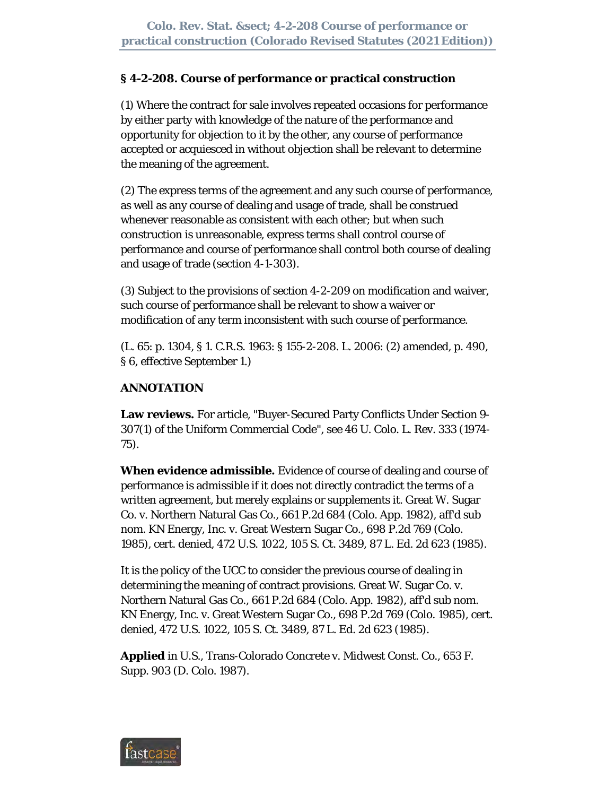### **§ 4-2-208. Course of performance or practical construction**

(1) Where the contract for sale involves repeated occasions for performance by either party with knowledge of the nature of the performance and opportunity for objection to it by the other, any course of performance accepted or acquiesced in without objection shall be relevant to determine the meaning of the agreement.

(2) The express terms of the agreement and any such course of performance, as well as any course of dealing and usage of trade, shall be construed whenever reasonable as consistent with each other; but when such construction is unreasonable, express terms shall control course of performance and course of performance shall control both course of dealing and usage of trade (section 4-1-303).

(3) Subject to the provisions of section 4-2-209 on modification and waiver, such course of performance shall be relevant to show a waiver or modification of any term inconsistent with such course of performance.

(L. 65: p. 1304, § 1. C.R.S. 1963: § 155-2-208. L. 2006: (2) amended, p. 490, § 6, effective September 1.)

#### **ANNOTATION**

**Law reviews.** For article, "Buyer-Secured Party Conflicts Under Section 9- 307(1) of the Uniform Commercial Code", see 46 U. Colo. L. Rev. 333 (1974- 75).

**When evidence admissible.** Evidence of course of dealing and course of performance is admissible if it does not directly contradict the terms of a written agreement, but merely explains or supplements it. Great W. Sugar Co. v. Northern Natural Gas Co., 661 P.2d 684 (Colo. App. 1982), aff'd sub nom. KN Energy, Inc. v. Great Western Sugar Co., 698 P.2d 769 (Colo. 1985), cert. denied, 472 U.S. 1022, 105 S. Ct. 3489, 87 L. Ed. 2d 623 (1985).

It is the policy of the UCC to consider the previous course of dealing in determining the meaning of contract provisions. Great W. Sugar Co. v. Northern Natural Gas Co., 661 P.2d 684 (Colo. App. 1982), aff'd sub nom. KN Energy, Inc. v. Great Western Sugar Co., 698 P.2d 769 (Colo. 1985), cert. denied, 472 U.S. 1022, 105 S. Ct. 3489, 87 L. Ed. 2d 623 (1985).

**Applied** in U.S., Trans-Colorado Concrete v. Midwest Const. Co., 653 F. Supp. 903 (D. Colo. 1987).

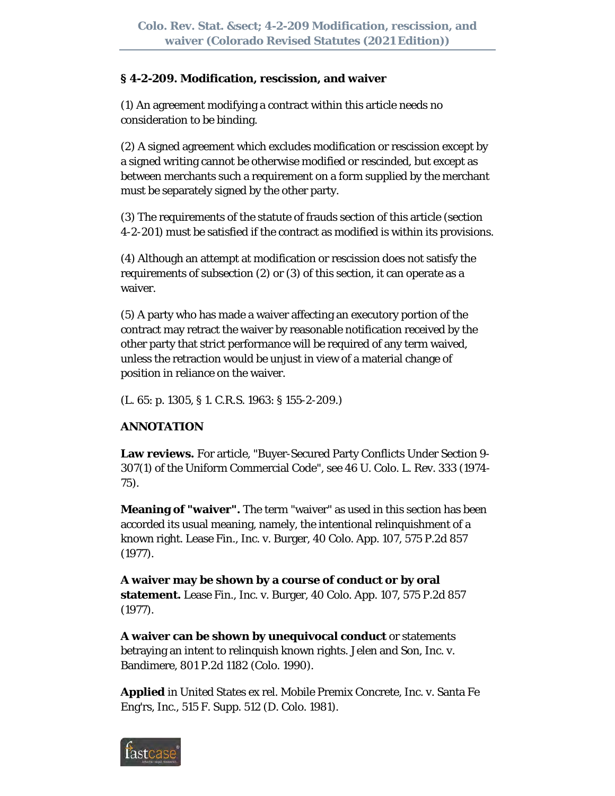#### **§ 4-2-209. Modification, rescission, and waiver**

(1) An agreement modifying a contract within this article needs no consideration to be binding.

(2) A signed agreement which excludes modification or rescission except by a signed writing cannot be otherwise modified or rescinded, but except as between merchants such a requirement on a form supplied by the merchant must be separately signed by the other party.

(3) The requirements of the statute of frauds section of this article (section 4-2-201) must be satisfied if the contract as modified is within its provisions.

(4) Although an attempt at modification or rescission does not satisfy the requirements of subsection (2) or (3) of this section, it can operate as a waiver.

(5) A party who has made a waiver affecting an executory portion of the contract may retract the waiver by reasonable notification received by the other party that strict performance will be required of any term waived, unless the retraction would be unjust in view of a material change of position in reliance on the waiver.

(L. 65: p. 1305, § 1. C.R.S. 1963: § 155-2-209.)

## **ANNOTATION**

**Law reviews.** For article, "Buyer-Secured Party Conflicts Under Section 9- 307(1) of the Uniform Commercial Code", see 46 U. Colo. L. Rev. 333 (1974- 75).

**Meaning of "waiver".** The term "waiver" as used in this section has been accorded its usual meaning, namely, the intentional relinquishment of a known right. Lease Fin., Inc. v. Burger, 40 Colo. App. 107, 575 P.2d 857 (1977).

**A waiver may be shown by a course of conduct or by oral statement.** Lease Fin., Inc. v. Burger, 40 Colo. App. 107, 575 P.2d 857 (1977).

**A waiver can be shown by unequivocal conduct** or statements betraying an intent to relinquish known rights. Jelen and Son, Inc. v. Bandimere, 801 P.2d 1182 (Colo. 1990).

**Applied** in United States ex rel. Mobile Premix Concrete, Inc. v. Santa Fe Eng'rs, Inc., 515 F. Supp. 512 (D. Colo. 1981).

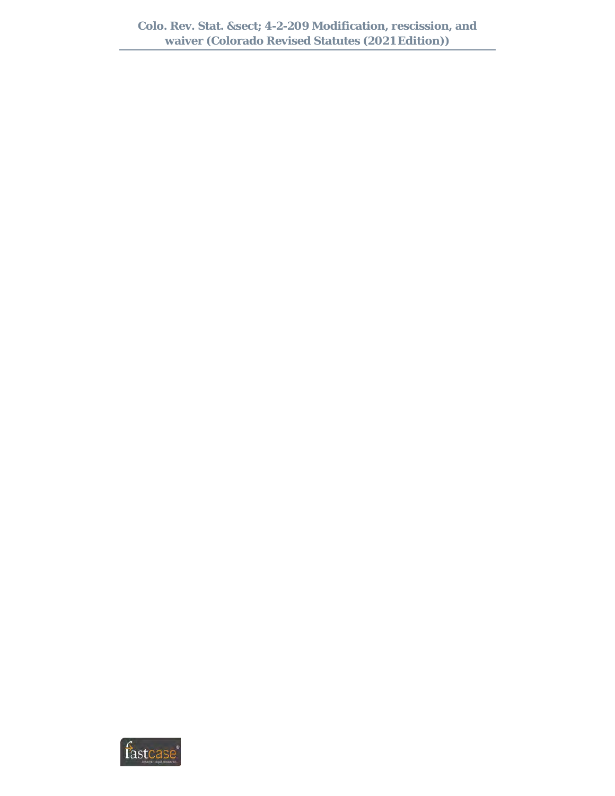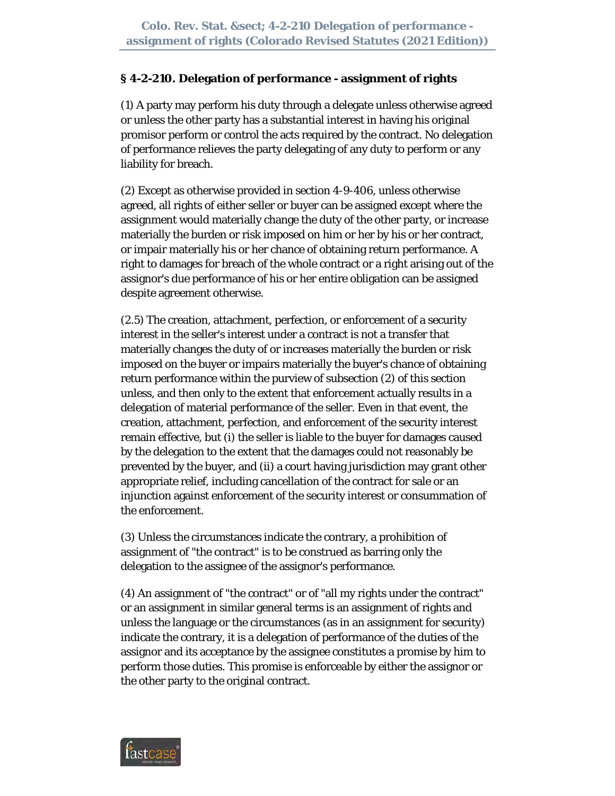### **§ 4-2-210. Delegation of performance - assignment of rights**

(1) A party may perform his duty through a delegate unless otherwise agreed or unless the other party has a substantial interest in having his original promisor perform or control the acts required by the contract. No delegation of performance relieves the party delegating of any duty to perform or any liability for breach.

(2) Except as otherwise provided in section 4-9-406, unless otherwise agreed, all rights of either seller or buyer can be assigned except where the assignment would materially change the duty of the other party, or increase materially the burden or risk imposed on him or her by his or her contract, or impair materially his or her chance of obtaining return performance. A right to damages for breach of the whole contract or a right arising out of the assignor's due performance of his or her entire obligation can be assigned despite agreement otherwise.

(2.5) The creation, attachment, perfection, or enforcement of a security interest in the seller's interest under a contract is not a transfer that materially changes the duty of or increases materially the burden or risk imposed on the buyer or impairs materially the buyer's chance of obtaining return performance within the purview of subsection (2) of this section unless, and then only to the extent that enforcement actually results in a delegation of material performance of the seller. Even in that event, the creation, attachment, perfection, and enforcement of the security interest remain effective, but (i) the seller is liable to the buyer for damages caused by the delegation to the extent that the damages could not reasonably be prevented by the buyer, and (ii) a court having jurisdiction may grant other appropriate relief, including cancellation of the contract for sale or an injunction against enforcement of the security interest or consummation of the enforcement.

(3) Unless the circumstances indicate the contrary, a prohibition of assignment of "the contract" is to be construed as barring only the delegation to the assignee of the assignor's performance.

(4) An assignment of "the contract" or of "all my rights under the contract" or an assignment in similar general terms is an assignment of rights and unless the language or the circumstances (as in an assignment for security) indicate the contrary, it is a delegation of performance of the duties of the assignor and its acceptance by the assignee constitutes a promise by him to perform those duties. This promise is enforceable by either the assignor or the other party to the original contract.